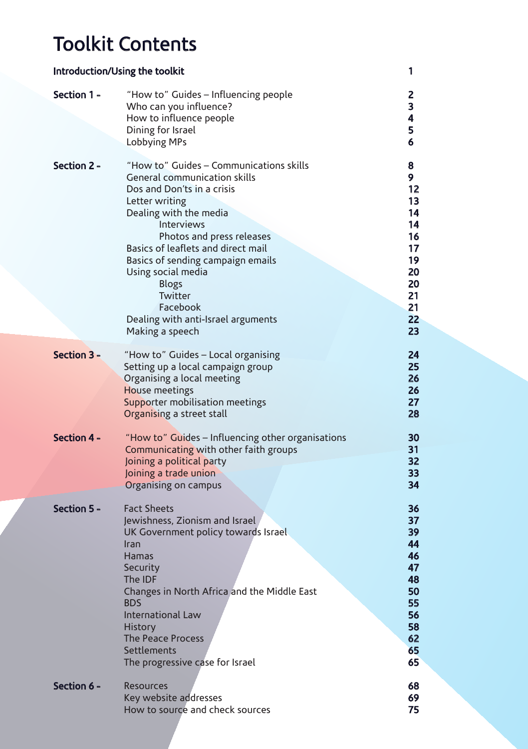# Toolkit Contents

| Introduction/Using the toolkit<br>1 |                                                                                                                                                                                                                                                                                                                                                                                               |                                                                                      |
|-------------------------------------|-----------------------------------------------------------------------------------------------------------------------------------------------------------------------------------------------------------------------------------------------------------------------------------------------------------------------------------------------------------------------------------------------|--------------------------------------------------------------------------------------|
| Section 1 -                         | "How to" Guides - Influencing people<br>Who can you influence?<br>How to influence people<br>Dining for Israel<br>Lobbying MPs                                                                                                                                                                                                                                                                | 2<br>3<br>4<br>5<br>6                                                                |
| Section 2 -                         | "How to" Guides - Communications skills<br>General communication skills<br>Dos and Don'ts in a crisis<br>Letter writing<br>Dealing with the media<br>Interviews<br>Photos and press releases<br>Basics of leaflets and direct mail<br>Basics of sending campaign emails<br>Using social media<br><b>Blogs</b><br>Twitter<br>Facebook<br>Dealing with anti-Israel arguments<br>Making a speech | 8<br>9<br>12<br>13<br>14<br>14<br>16<br>17<br>19<br>20<br>20<br>21<br>21<br>22<br>23 |
| Section 3 -                         | "How to" Guides - Local organising<br>Setting up a local campaign group<br>Organising a local meeting<br>House meetings<br>Supporter mobilisation meetings<br>Organising a street stall                                                                                                                                                                                                       | 24<br>25<br>26<br>26<br>27<br>28                                                     |
| Section 4 -                         | "How to" Guides - Influencing other organisations<br>Communicating with other faith groups<br>Joining a political party<br>Joining a trade union<br>Organising on campus                                                                                                                                                                                                                      | 30<br>31<br>32<br>33<br>34                                                           |
| Section 5 -                         | <b>Fact Sheets</b><br>Jewishness, Zionism and Israel<br>UK Government policy towards Israel<br>Iran<br>Hamas<br>Security<br>The IDF<br>Changes in North Africa and the Middle East<br><b>BDS</b><br><b>International Law</b><br><b>History</b><br><b>The Peace Process</b><br>Settlements<br>The progressive case for Israel                                                                  | 36<br>37<br>39<br>44<br>46<br>47<br>48<br>50<br>55<br>56<br>58<br>62<br>65<br>65     |
| Section 6 -                         | <b>Resources</b><br>Key website addresses<br>How to source and check sources                                                                                                                                                                                                                                                                                                                  | 68<br>69<br>75                                                                       |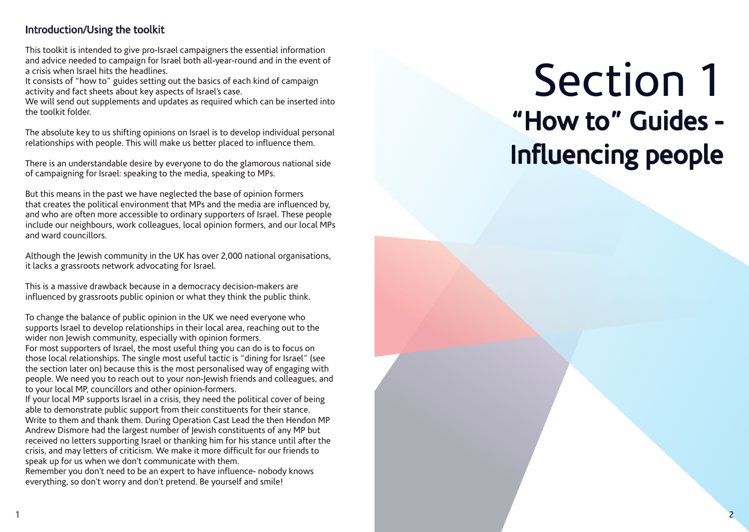### Introduction/Using the toolkit

This toolkit is intended to give pro-Israel campaigners the essential information and advice needed to campaign for Israel both all-year-round and in the event of a crisis when Israel hits the headlines.

It consists of "how to" guides setting out the basics of each kind of campaign activity and fact sheets about key aspects of Israel's case.

We will send out supplements and updates as required which can be inserted into the toolkit folder.

The absolute key to us shifting opinions on Israel is to develop individual personal relationships with people. This will make us better placed to influence them.

There is an understandable desire by everyone to do the glamorous national side of campaigning for Israel: speaking to the media, speaking to MPs.

But this means in the past we have neglected the base of opinion formers that creates the political environment that MPs and the media are influenced by, and who are often more accessible to ordinary supporters of Israel. These people include our neighbours, work colleagues, local opinion formers, and our local MPs and ward councillors.

Although the Jewish community in the UK has over 2,000 national organisations, it lacks a grassroots network advocating for Israel.

This is a massive drawback because in a democracy decision-makers are influenced by grassroots public opinion or what they think the public think.

To change the balance of public opinion in the UK we need everyone who supports Israel to develop relationships in their local area, reaching out to the wider non Jewish community, especially with opinion formers. For most supporters of Israel, the most useful thing you can do is to focus on those local relationships. The single most useful tactic is "dining for Israel" (see the section later on) because this is the most personalised way of engaging with people. We need you to reach out to your non-Jewish friends and colleagues, and to your local MP, councillors and other opinion-formers.

If your local MP supports Israel in a crisis, they need the political cover of being able to demonstrate public support from their constituents for their stance. Write to them and thank them. During Operation Cast Lead the then Hendon MP Andrew Dismore had the largest number of Jewish constituents of any MP but received no letters supporting Israel or thanking him for his stance until after the crisis, and may letters of criticism. We make it more difficult for our friends to speak up for us when we don't communicate with them.

Remember you don't need to be an expert to have influence- nobody knows everything, so don't worry and don't pretend. Be yourself and smile!

# Section 1 "How to" Guides - Influencing people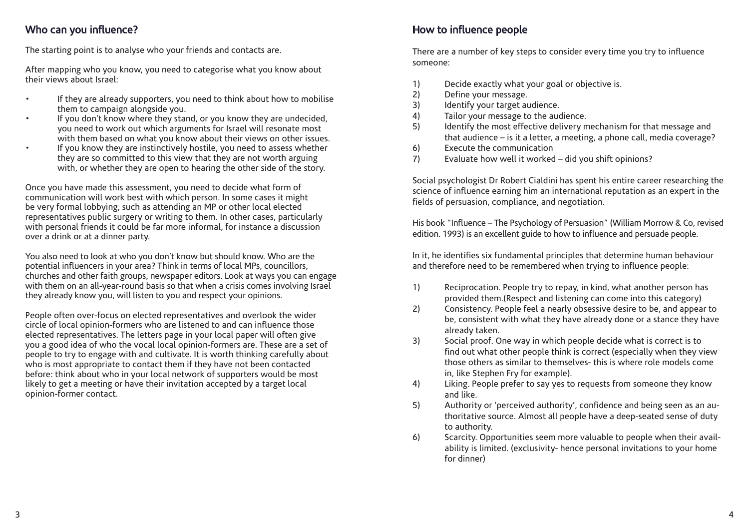## Who can you influence?

The starting point is to analyse who your friends and contacts are.

After mapping who you know, you need to categorise what you know about their views about Israel:

- If they are already supporters, you need to think about how to mobilise them to campaign alongside you.
- If you don't know where they stand, or you know they are undecided, you need to work out which arguments for Israel will resonate most with them based on what you know about their views on other issues.
- If you know they are instinctively hostile, you need to assess whether they are so committed to this view that they are not worth arguing with, or whether they are open to hearing the other side of the story.

Once you have made this assessment, you need to decide what form of communication will work best with which person. In some cases it might be very formal lobbying, such as attending an MP or other local elected representatives public surgery or writing to them. In other cases, particularly with personal friends it could be far more informal, for instance a discussion over a drink or at a dinner party.

You also need to look at who you don't know but should know. Who are the potential influencers in your area? Think in terms of local MPs, councillors, churches and other faith groups, newspaper editors. Look at ways you can engage with them on an all-year-round basis so that when a crisis comes involving Israel they already know you, will listen to you and respect your opinions.

People often over-focus on elected representatives and overlook the wider circle of local opinion-formers who are listened to and can influence those elected representatives. The letters page in your local paper will often give you a good idea of who the vocal local opinion-formers are. These are a set of people to try to engage with and cultivate. It is worth thinking carefully about who is most appropriate to contact them if they have not been contacted before: think about who in your local network of supporters would be most likely to get a meeting or have their invitation accepted by a target local opinion-former contact.

# How to influence people

There are a number of key steps to consider every time you try to influence someone:

- 1) Decide exactly what your goal or objective is.
- 2) Define your message.
- 3) Identify your target audience.
- 4) Tailor your message to the audience.
- 5) Identify the most effective delivery mechanism for that message and that audience – is it a letter, a meeting, a phone call, media coverage?
- 6) Execute the communication
- 7) Evaluate how well it worked did you shift opinions?

Social psychologist Dr Robert Cialdini has spent his entire career researching the science of influence earning him an international reputation as an expert in the fields of persuasion, compliance, and negotiation.

His book "Influence – The Psychology of Persuasion" (William Morrow & Co, revised edition. 1993) is an excellent guide to how to influence and persuade people.

In it, he identifies six fundamental principles that determine human behaviour and therefore need to be remembered when trying to influence people:

- 1) Reciprocation. People try to repay, in kind, what another person has provided them.(Respect and listening can come into this category)
- 2) Consistency. People feel a nearly obsessive desire to be, and appear to be, consistent with what they have already done or a stance they have already taken.
- 3) Social proof. One way in which people decide what is correct is to find out what other people think is correct (especially when they view those others as similar to themselves- this is where role models come in, like Stephen Fry for example).
- 4) Liking. People prefer to say yes to requests from someone they know and like.
- 5) Authority or 'perceived authority', confidence and being seen as an authoritative source. Almost all people have a deep-seated sense of duty to authority.
- 6) Scarcity. Opportunities seem more valuable to people when their availability is limited. (exclusivity- hence personal invitations to your home for dinner)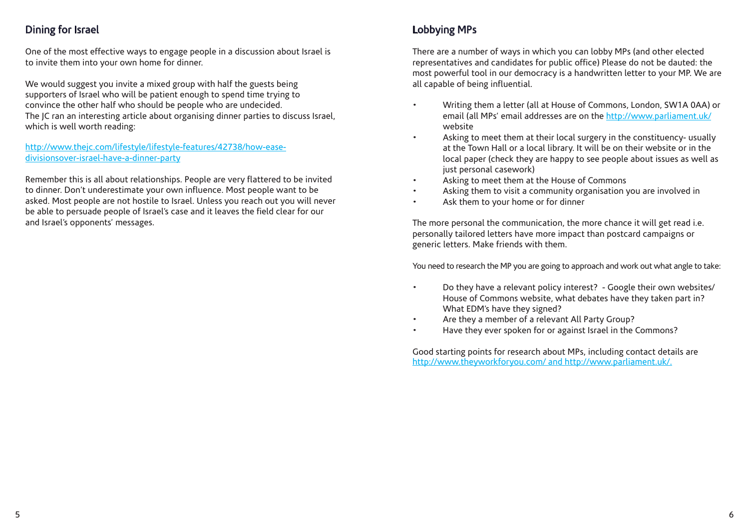# Dining for Israel

One of the most effective ways to engage people in a discussion about Israel is to invite them into your own home for dinner.

We would suggest you invite a mixed group with half the guests being supporters of Israel who will be patient enough to spend time trying to convince the other half who should be people who are undecided. The JC ran an interesting article about organising dinner parties to discuss Israel, which is well worth reading:

#### http://www.thejc.com/lifestyle/lifestyle-features/42738/how-easedivisionsover-israel-have-a-dinner-party

Remember this is all about relationships. People are very flattered to be invited to dinner. Don't underestimate your own influence. Most people want to be asked. Most people are not hostile to Israel. Unless you reach out you will never be able to persuade people of Israel's case and it leaves the field clear for our and Israel's opponents' messages.

# Lobbying MPs

There are a number of ways in which you can lobby MPs (and other elected representatives and candidates for public office) Please do not be dauted: the most powerful tool in our democracy is a handwritten letter to your MP. We are all capable of being influential.

- Writing them a letter (all at House of Commons, London, SW1A 0AA) or email (all MPs' email addresses are on the http://www.parliament.uk/ website
- Asking to meet them at their local surgery in the constituency- usually at the Town Hall or a local library. It will be on their website or in the local paper (check they are happy to see people about issues as well as just personal casework)
- Asking to meet them at the House of Commons
- Asking them to visit a community organisation you are involved in
- Ask them to your home or for dinner

The more personal the communication, the more chance it will get read i.e. personally tailored letters have more impact than postcard campaigns or generic letters. Make friends with them.

You need to research the MP you are going to approach and work out what angle to take:

- Do they have a relevant policy interest? Google their own websites/ House of Commons website, what debates have they taken part in? What EDM's have they signed?
- Are they a member of a relevant All Party Group?
- Have they ever spoken for or against Israel in the Commons?

Good starting points for research about MPs, including contact details are http://www.theyworkforyou.com/ and http://www.parliament.uk/.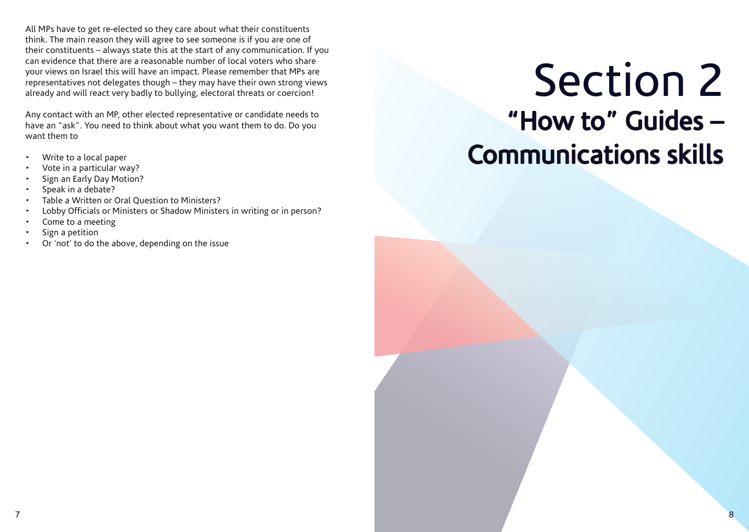All MPs have to get re-elected so they care about what their constituents think. The main reason they will agree to see someone is if you are one of their constituents – always state this at the start of any communication. If you can evidence that there are a reasonable number of local voters who share your views on Israel this will have an impact. Please remember that MPs are representatives not delegates though – they may have their own strong views already and will react very badly to bullying, electoral threats or coercion!

Any contact with an MP, other elected representative or candidate needs to have an "ask". You need to think about what you want them to do. Do you want them to

- Write to a local paper
- Vote in a particular way?
- Sign an Early Day Motion?
- Speak in a debate?
- Table a Written or Oral Question to Ministers?
- Lobby Officials or Ministers or Shadow Ministers in writing or in person?
- Come to a meeting
- Sign a petition
- Or 'not' to do the above, depending on the issue

# Section 2 "How to" Guides – Communications skills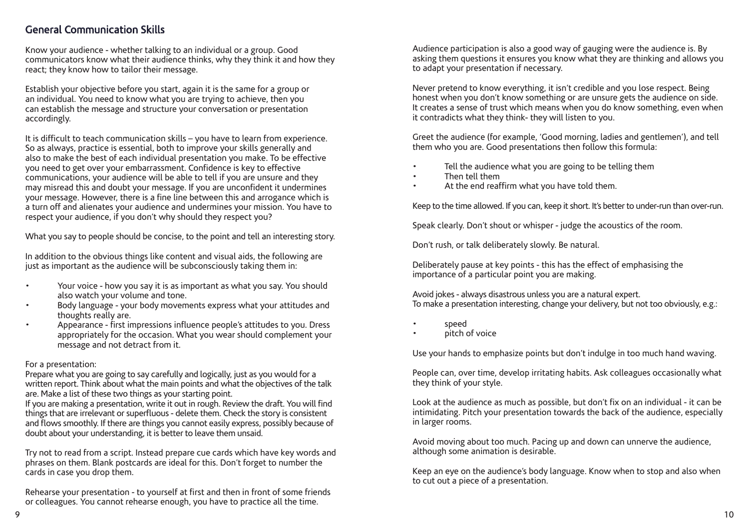## General Communication Skills

Know your audience - whether talking to an individual or a group. Good communicators know what their audience thinks, why they think it and how they react; they know how to tailor their message.

Establish your objective before you start, again it is the same for a group or an individual. You need to know what you are trying to achieve, then you can establish the message and structure your conversation or presentation accordingly.

It is difficult to teach communication skills – you have to learn from experience. So as always, practice is essential, both to improve your skills generally and also to make the best of each individual presentation you make. To be effective you need to get over your embarrassment. Confidence is key to effective communications, your audience will be able to tell if you are unsure and they may misread this and doubt your message. If you are unconfident it undermines your message. However, there is a fine line between this and arrogance which is a turn off and alienates your audience and undermines your mission. You have to respect your audience, if you don't why should they respect you?

What you say to people should be concise, to the point and tell an interesting story.

In addition to the obvious things like content and visual aids, the following are just as important as the audience will be subconsciously taking them in:

- Your voice how you say it is as important as what you say. You should also watch your volume and tone.
- Body language your body movements express what your attitudes and thoughts really are.
- Appearance first impressions influence people's attitudes to you. Dress appropriately for the occasion. What you wear should complement your message and not detract from it.

#### For a presentation:

Prepare what you are going to say carefully and logically, just as you would for a written report. Think about what the main points and what the objectives of the talk are. Make a list of these two things as your starting point.

If you are making a presentation, write it out in rough. Review the draft. You will find things that are irrelevant or superfluous - delete them. Check the story is consistent and flows smoothly. If there are things you cannot easily express, possibly because of doubt about your understanding, it is better to leave them unsaid.

Try not to read from a script. Instead prepare cue cards which have key words and phrases on them. Blank postcards are ideal for this. Don't forget to number the cards in case you drop them.

Rehearse your presentation - to yourself at first and then in front of some friends or colleagues. You cannot rehearse enough, you have to practice all the time.

Audience participation is also a good way of gauging were the audience is. By asking them questions it ensures you know what they are thinking and allows you to adapt your presentation if necessary.

Never pretend to know everything, it isn't credible and you lose respect. Being honest when you don't know something or are unsure gets the audience on side. It creates a sense of trust which means when you do know something, even when it contradicts what they think- they will listen to you.

Greet the audience (for example, 'Good morning, ladies and gentlemen'), and tell them who you are. Good presentations then follow this formula:

- Tell the audience what you are going to be telling them
- Then tell them
- At the end reaffirm what you have told them.

Keep to the time allowed. If you can, keep it short. It's better to under-run than over-run.

Speak clearly. Don't shout or whisper - judge the acoustics of the room.

Don't rush, or talk deliberately slowly. Be natural.

Deliberately pause at key points - this has the effect of emphasising the importance of a particular point you are making.

Avoid jokes - always disastrous unless you are a natural expert. To make a presentation interesting, change your delivery, but not too obviously, e.g.:

- speed
- pitch of voice

Use your hands to emphasize points but don't indulge in too much hand waving.

People can, over time, develop irritating habits. Ask colleagues occasionally what they think of your style.

Look at the audience as much as possible, but don't fix on an individual - it can be intimidating. Pitch your presentation towards the back of the audience, especially in larger rooms.

Avoid moving about too much. Pacing up and down can unnerve the audience, although some animation is desirable.

Keep an eye on the audience's body language. Know when to stop and also when to cut out a piece of a presentation.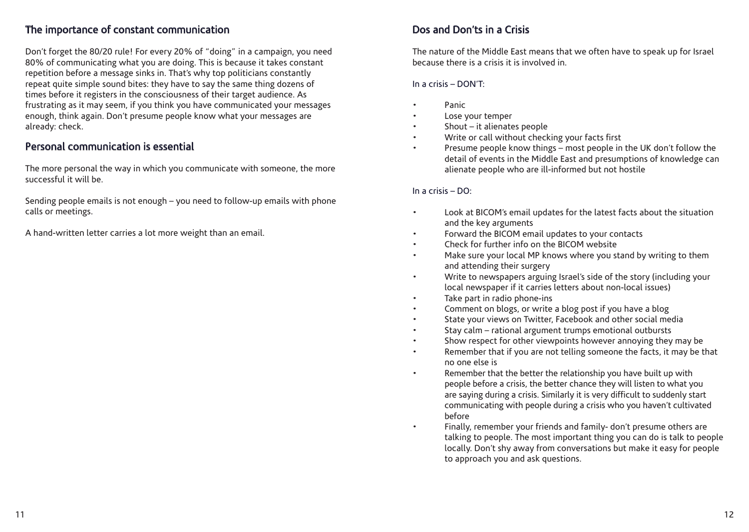### The importance of constant communication

Don't forget the 80/20 rule! For every 20% of "doing" in a campaign, you need 80% of communicating what you are doing. This is because it takes constant repetition before a message sinks in. That's why top politicians constantly repeat quite simple sound bites: they have to say the same thing dozens of times before it registers in the consciousness of their target audience. As frustrating as it may seem, if you think you have communicated your messages enough, think again. Don't presume people know what your messages are already: check.

#### Personal communication is essential

The more personal the way in which you communicate with someone, the more successful it will be.

Sending people emails is not enough – you need to follow-up emails with phone calls or meetings.

A hand-written letter carries a lot more weight than an email.

# Dos and Don'ts in a Crisis

The nature of the Middle East means that we often have to speak up for Israel because there is a crisis it is involved in.

#### In a crisis – DON'T:

- Panic
- Lose your temper
- Shout  $-$  it alienates people
- Write or call without checking your facts first
- Presume people know things most people in the UK don't follow the detail of events in the Middle East and presumptions of knowledge can alienate people who are ill-informed but not hostile

#### In a crisis – DO:

- Look at BICOM's email updates for the latest facts about the situation and the key arguments
- Forward the BICOM email updates to your contacts
- Check for further info on the BICOM website
- Make sure your local MP knows where you stand by writing to them and attending their surgery
- Write to newspapers arguing Israel's side of the story (including your local newspaper if it carries letters about non-local issues)
- Take part in radio phone-ins
- Comment on blogs, or write a blog post if you have a blog
- State your views on Twitter, Facebook and other social media
- Stay calm rational argument trumps emotional outbursts
- Show respect for other viewpoints however annoying they may be
- Remember that if you are not telling someone the facts, it may be that no one else is
- Remember that the better the relationship you have built up with people before a crisis, the better chance they will listen to what you are saying during a crisis. Similarly it is very difficult to suddenly start communicating with people during a crisis who you haven't cultivated before
	- Finally, remember your friends and family- don't presume others are talking to people. The most important thing you can do is talk to people locally. Don't shy away from conversations but make it easy for people to approach you and ask questions.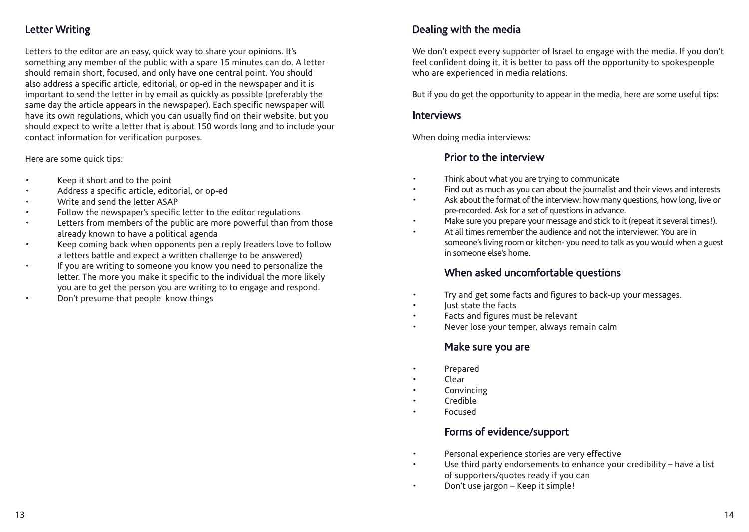# Letter Writing

Letters to the editor are an easy, quick way to share your opinions. It's something any member of the public with a spare 15 minutes can do. A letter should remain short, focused, and only have one central point. You should also address a specific article, editorial, or op-ed in the newspaper and it is important to send the letter in by email as quickly as possible (preferably the same day the article appears in the newspaper). Each specific newspaper will have its own regulations, which you can usually find on their website, but you should expect to write a letter that is about 150 words long and to include your contact information for verification purposes.

Here are some quick tips:

- Keep it short and to the point
- Address a specific article, editorial, or op-ed
- Write and send the letter ASAP
- Follow the newspaper's specific letter to the editor regulations
- Letters from members of the public are more powerful than from those already known to have a political agenda
- Keep coming back when opponents pen a reply (readers love to follow a letters battle and expect a written challenge to be answered)
- If you are writing to someone you know you need to personalize the letter. The more you make it specific to the individual the more likely you are to get the person you are writing to to engage and respond.
- Don't presume that people know things

# Dealing with the media

We don't expect every supporter of Israel to engage with the media. If you don't feel confident doing it, it is better to pass off the opportunity to spokespeople who are experienced in media relations.

But if you do get the opportunity to appear in the media, here are some useful tips:

#### Interviews

When doing media interviews:

## Prior to the interview

- Think about what you are trying to communicate
- Find out as much as you can about the journalist and their views and interests
- Ask about the format of the interview: how many questions, how long, live or pre-recorded. Ask for a set of questions in advance.
- Make sure you prepare your message and stick to it (repeat it several times!).
- At all times remember the audience and not the interviewer. You are in someone's living room or kitchen- you need to talk as you would when a guest in someone else's home.

## When asked uncomfortable questions

- Try and get some facts and figures to back-up your messages.
- lust state the facts
- Facts and figures must be relevant
- Never lose your temper, always remain calm

#### Make sure you are

- Prepared
- Clear
- **Convincing**
- Credible
- Focused

## Forms of evidence/support

- Personal experience stories are very effective
- Use third party endorsements to enhance your credibility have a list of supporters/quotes ready if you can
- Don't use jargon Keep it simple!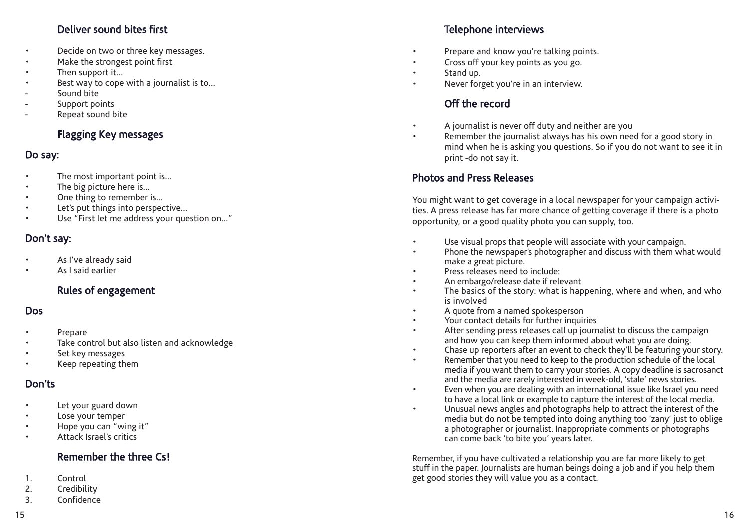# Deliver sound bites first

- Decide on two or three key messages.
- Make the strongest point first
- Then support it...
- Best way to cope with a journalist is to...
- Sound bite
- Support points
- Repeat sound bite

# Flagging Key messages

- **Do say:**<br>
The most important point is...
- The big picture here is...
- One thing to remember is...
- Let's put things into perspective...
- Use "First let me address your question on..."

### Don't say:

- As I've already said
- As I said earlier

## Rules of engagement

#### Dos

- Prepare
- Take control but also listen and acknowledge
- Set key messages
- Keep repeating them

#### Don'ts

- Let your guard down
- Lose your temper
- Hope you can "wing it"
- Attack Israel's critics

#### Remember the three Cs!

- 1. Control
- 2. Credibility
- 3. Confidence

# Telephone interviews

- Prepare and know you're talking points.
- Cross off your key points as you go.
- Stand up.
- Never forget you're in an interview.

# Off the record

- A journalist is never off duty and neither are you
- Remember the journalist always has his own need for a good story in mind when he is asking you questions. So if you do not want to see it in print -do not say it.

### Photos and Press Releases

You might want to get coverage in a local newspaper for your campaign activi ties. A press release has far more chance of getting coverage if there is a photo opportunity, or a good quality photo you can supply, too.

- Use visual props that people will associate with your campaign.
- Phone the newspaper's photographer and discuss with them what would make a great picture.
- Press releases need to include:
- An embargo/release date if relevant
- The basics of the story: what is happening, where and when, and who is involved
- A quote from a named spokesperson
- Your contact details for further inquiries
- After sending press releases call up journalist to discuss the campaign and how you can keep them informed about what you are doing.
- Chase up reporters after an event to check they'll be featuring your story.
- Remember that you need to keep to the production schedule of the local media if you want them to carry your stories. A copy deadline is sacrosanct and the media are rarely interested in week-old, 'stale' news stories.
- Even when you are dealing with an international issue like Israel you need to have a local link or example to capture the interest of the local media.
- Unusual news angles and photographs help to attract the interest of the media but do not be tempted into doing anything too 'zany' just to oblige a photographer or journalist. Inappropriate comments or photographs can come back 'to bite you' years later.

Remember, if you have cultivated a relationship you are far more likely to get stuff in the paper. Journalists are human beings doing a job and if you help them get good stories they will value you as a contact.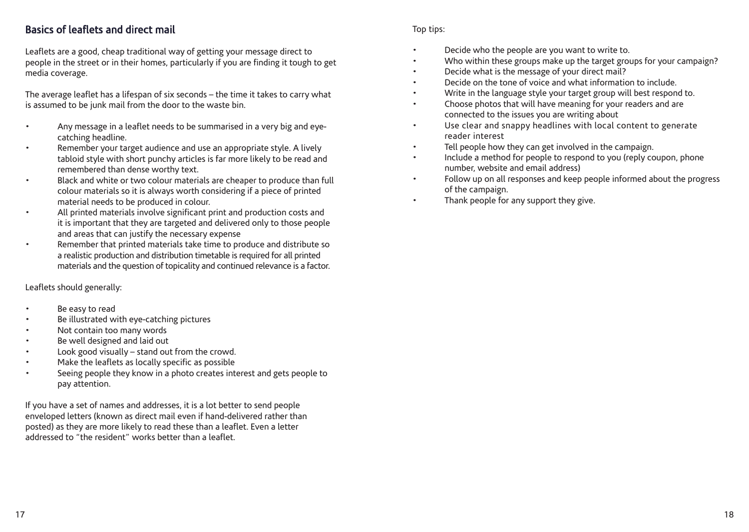## Basics of leaflets and direct mail

Leaflets are a good, cheap traditional way of getting your message direct to people in the street or in their homes, particularly if you are finding it tough to get media coverage.

The average leaflet has a lifespan of six seconds – the time it takes to carry what is assumed to be junk mail from the door to the waste bin.

- Any message in a leaflet needs to be summarised in a very big and eyecatching headline.
- Remember your target audience and use an appropriate style. A lively tabloid style with short punchy articles is far more likely to be read and remembered than dense worthy text.
- Black and white or two colour materials are cheaper to produce than full colour materials so it is always worth considering if a piece of printed material needs to be produced in colour.
- All printed materials involve significant print and production costs and it is important that they are targeted and delivered only to those people and areas that can justify the necessary expense
- Remember that printed materials take time to produce and distribute so a realistic production and distribution timetable is required for all printed materials and the question of topicality and continued relevance is a factor.

Leaflets should generally:

- Be easy to read
- Be illustrated with eye-catching pictures
- Not contain too many words
- Be well designed and laid out
- Look good visually  $-$  stand out from the crowd.
- Make the leaflets as locally specific as possible
- Seeing people they know in a photo creates interest and gets people to pay attention.

If you have a set of names and addresses, it is a lot better to send people enveloped letters (known as direct mail even if hand-delivered rather than posted) as they are more likely to read these than a leaflet. Even a letter addressed to "the resident" works better than a leaflet.

#### Top tips:

- Decide who the people are you want to write to.
- Who within these groups make up the target groups for your campaign?
- Decide what is the message of your direct mail?
- Decide on the tone of voice and what information to include.
- Write in the language style your target group will best respond to.
- Choose photos that will have meaning for your readers and are connected to the issues you are writing about
- Use clear and snappy headlines with local content to generate reader interest
- Tell people how they can get involved in the campaign.
- Include a method for people to respond to you (reply coupon, phone number, website and email address)
- Follow up on all responses and keep people informed about the progress of the campaign.
- Thank people for any support they give.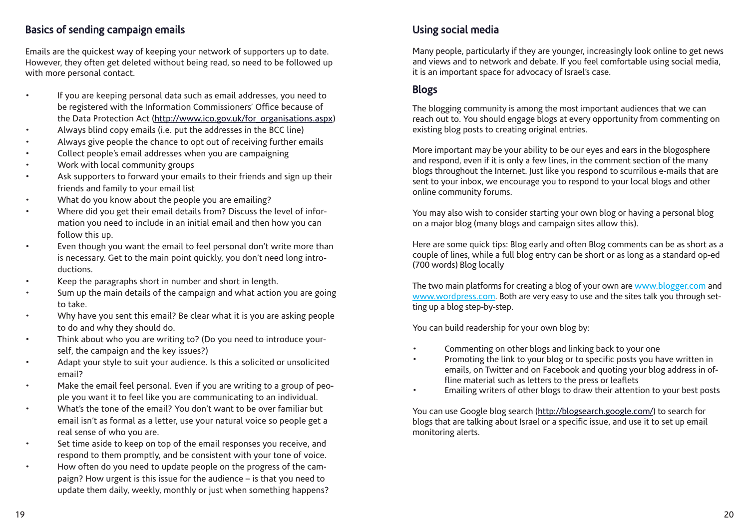# Basics of sending campaign emails

Emails are the quickest way of keeping your network of supporters up to date. However, they often get deleted without being read, so need to be followed up with more personal contact.

- If you are keeping personal data such as email addresses, you need to be registered with the Information Commissioners' Office because of the Data Protection Act (http://www.ico.gov.uk/for\_organisations.aspx)
- Always blind copy emails (i.e. put the addresses in the BCC line)
- Always give people the chance to opt out of receiving further emails
- Collect people's email addresses when you are campaigning
- Work with local community groups
- Ask supporters to forward your emails to their friends and sign up their friends and family to your email list
- What do you know about the people you are emailing?
- Where did you get their email details from? Discuss the level of information you need to include in an initial email and then how you can follow this up.
- Even though you want the email to feel personal don't write more than is necessary. Get to the main point quickly, you don't need long introductions.
- Keep the paragraphs short in number and short in length.
- Sum up the main details of the campaign and what action you are going to take.
- Why have you sent this email? Be clear what it is you are asking people to do and why they should do.
- Think about who you are writing to? (Do you need to introduce yourself, the campaign and the key issues?)
- Adapt your style to suit your audience. Is this a solicited or unsolicited email?
- Make the email feel personal. Even if you are writing to a group of people you want it to feel like you are communicating to an individual.
- What's the tone of the email? You don't want to be over familiar but email isn't as formal as a letter, use your natural voice so people get a real sense of who you are.
- Set time aside to keep on top of the email responses you receive, and respond to them promptly, and be consistent with your tone of voice.
- How often do you need to update people on the progress of the campaign? How urgent is this issue for the audience – is that you need to update them daily, weekly, monthly or just when something happens?

# Using social media

Many people, particularly if they are younger, increasingly look online to get news and views and to network and debate. If you feel comfortable using social media, it is an important space for advocacy of Israel's case.

# Blogs

The blogging community is among the most important audiences that we can reach out to. You should engage blogs at every opportunity from commenting on existing blog posts to creating original entries.

More important may be your ability to be our eyes and ears in the blogosphere and respond, even if it is only a few lines, in the comment section of the many blogs throughout the Internet. Just like you respond to scurrilous e-mails that are sent to your inbox, we encourage you to respond to your local blogs and other online community forums.

You may also wish to consider starting your own blog or having a personal blog on a major blog (many blogs and campaign sites allow this).

Here are some quick tips: Blog early and often Blog comments can be as short as a couple of lines, while a full blog entry can be short or as long as a standard op-ed (700 words) Blog locally

The two main platforms for creating a blog of your own are www.blogger.com and www.wordpress.com. Both are very easy to use and the sites talk you through setting up a blog step-by-step.

You can build readership for your own blog by:

- Commenting on other blogs and linking back to your one
- Promoting the link to your blog or to specific posts you have written in emails, on Twitter and on Facebook and quoting your blog address in offline material such as letters to the press or leaflets
- Emailing writers of other blogs to draw their attention to your best posts

You can use Google blog search (http://blogsearch.google.com/) to search for blogs that are talking about Israel or a specific issue, and use it to set up email monitoring alerts.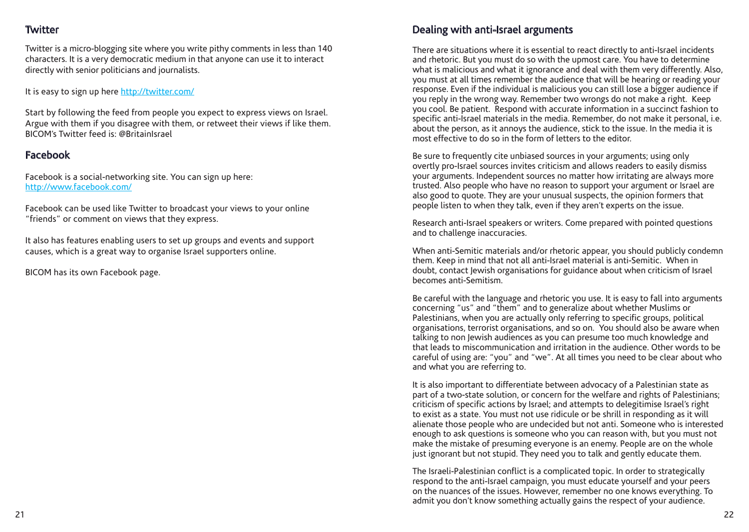# **Twitter**

Twitter is a micro-blogging site where you write pithy comments in less than 140 characters. It is a very democratic medium in that anyone can use it to interact directly with senior politicians and journalists.

It is easy to sign up here http://twitter.com/

Start by following the feed from people you expect to express views on Israel. Argue with them if you disagree with them, or retweet their views if like them. BICOM's Twitter feed is: @BritainIsrael

# Facebook

Facebook is a social-networking site. You can sign up here: http://www.facebook.com/

Facebook can be used like Twitter to broadcast your views to your online "friends" or comment on views that they express.

It also has features enabling users to set up groups and events and support causes, which is a great way to organise Israel supporters online.

BICOM has its own Facebook page.

# Dealing with anti-Israel arguments

There are situations where it is essential to react directly to anti-Israel incidents and rhetoric. But you must do so with the upmost care. You have to determine what is malicious and what it ignorance and deal with them very differently. Also, you must at all times remember the audience that will be hearing or reading your response. Even if the individual is malicious you can still lose a bigger audience if you reply in the wrong way. Remember two wrongs do not make a right. Keep you cool. Be patient. Respond with accurate information in a succinct fashion to specific anti-Israel materials in the media. Remember, do not make it personal, i.e. about the person, as it annoys the audience, stick to the issue. In the media it is most effective to do so in the form of letters to the editor.

Be sure to frequently cite unbiased sources in your arguments; using only overtly pro-Israel sources invites criticism and allows readers to easily dismiss your arguments. Independent sources no matter how irritating are always more trusted. Also people who have no reason to support your argument or Israel are also good to quote. They are your unusual suspects, the opinion formers that people listen to when they talk, even if they aren't experts on the issue.

Research anti-Israel speakers or writers. Come prepared with pointed questions and to challenge inaccuracies.

When anti-Semitic materials and/or rhetoric appear, you should publicly condemn them. Keep in mind that not all anti-Israel material is anti-Semitic. When in doubt, contact Jewish organisations for guidance about when criticism of Israel becomes anti-Semitism.

Be careful with the language and rhetoric you use. It is easy to fall into arguments concerning "us" and "them" and to generalize about whether Muslims or Palestinians, when you are actually only referring to specific groups, political organisations, terrorist organisations, and so on. You should also be aware when talking to non Jewish audiences as you can presume too much knowledge and that leads to miscommunication and irritation in the audience. Other words to be careful of using are: "you" and "we". At all times you need to be clear about who and what you are referring to.

It is also important to differentiate between advocacy of a Palestinian state as part of a two-state solution, or concern for the welfare and rights of Palestinians; criticism of specific actions by Israel; and attempts to delegitimise Israel's right to exist as a state. You must not use ridicule or be shrill in responding as it will alienate those people who are undecided but not anti. Someone who is interested enough to ask questions is someone who you can reason with, but you must not make the mistake of presuming everyone is an enemy. People are on the whole just ignorant but not stupid. They need you to talk and gently educate them.

The Israeli-Palestinian conflict is a complicated topic. In order to strategically respond to the anti-Israel campaign, you must educate yourself and your peers on the nuances of the issues. However, remember no one knows everything. To admit you don't know something actually gains the respect of your audience.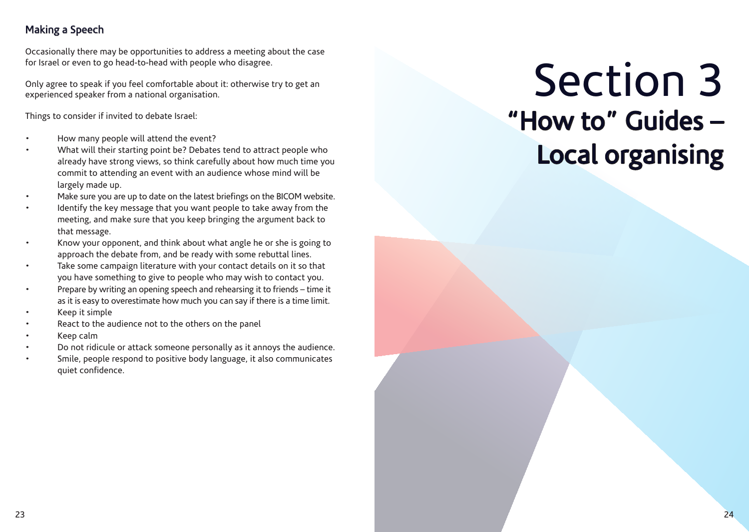# Making a Speech

Occasionally there may be opportunities to address a meeting about the case for Israel or even to go head-to-head with people who disagree.

Only agree to speak if you feel comfortable about it: otherwise try to get an experienced speaker from a national organisation.

Things to consider if invited to debate Israel:

- How many people will attend the event?
- What will their starting point be? Debates tend to attract people who already have strong views, so think carefully about how much time you commit to attending an event with an audience whose mind will be largely made up.
- Make sure you are up to date on the latest briefings on the BICOM website.
- Identify the key message that you want people to take away from the meeting, and make sure that you keep bringing the argument back to that message.
- Know your opponent, and think about what angle he or she is going to approach the debate from, and be ready with some rebuttal lines.
- Take some campaign literature with your contact details on it so that you have something to give to people who may wish to contact you.
- Prepare by writing an opening speech and rehearsing it to friends time it as it is easy to overestimate how much you can say if there is a time limit.
- Keep it simple
- React to the audience not to the others on the panel
- Keep calm
- Do not ridicule or attack someone personally as it annoys the audience.
- Smile, people respond to positive body language, it also communicates quiet confidence.

# Section 3 "How to" Guides – Local organising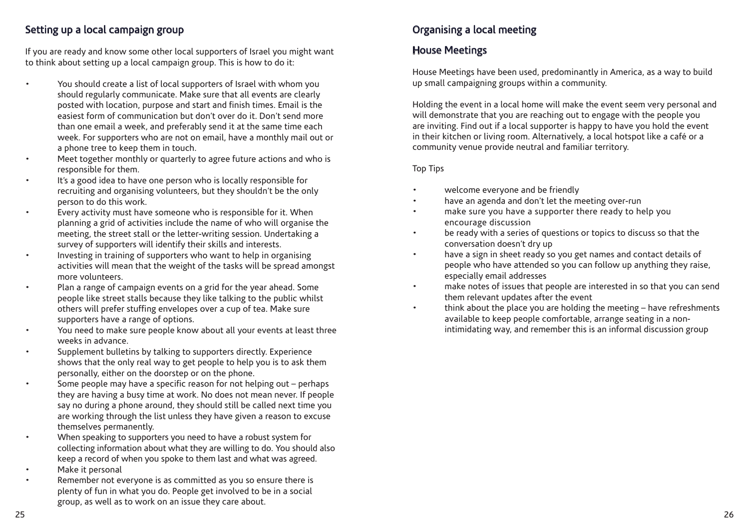# Setting up a local campaign group

If you are ready and know some other local supporters of Israel you might want to think about setting up a local campaign group. This is how to do it:

- You should create a list of local supporters of Israel with whom you should regularly communicate. Make sure that all events are clearly posted with location, purpose and start and finish times. Email is the easiest form of communication but don't over do it. Don't send more than one email a week, and preferably send it at the same time each week. For supporters who are not on email, have a monthly mail out or a phone tree to keep them in touch.
- Meet together monthly or quarterly to agree future actions and who is responsible for them.
- It's a good idea to have one person who is locally responsible for recruiting and organising volunteers, but they shouldn't be the only person to do this work.
- Every activity must have someone who is responsible for it. When planning a grid of activities include the name of who will organise the meeting, the street stall or the letter-writing session. Undertaking a survey of supporters will identify their skills and interests.
- Investing in training of supporters who want to help in organising activities will mean that the weight of the tasks will be spread amongst more volunteers.
- Plan a range of campaign events on a grid for the year ahead. Some people like street stalls because they like talking to the public whilst others will prefer stuffing envelopes over a cup of tea. Make sure supporters have a range of options.
- You need to make sure people know about all your events at least three weeks in advance.
- Supplement bulletins by talking to supporters directly. Experience shows that the only real way to get people to help you is to ask them personally, either on the doorstep or on the phone.
- Some people may have a specific reason for not helping out perhaps they are having a busy time at work. No does not mean never. If people say no during a phone around, they should still be called next time you are working through the list unless they have given a reason to excuse themselves permanently.
- When speaking to supporters you need to have a robust system for collecting information about what they are willing to do. You should also keep a record of when you spoke to them last and what was agreed.
- Make it personal
- Remember not everyone is as committed as you so ensure there is plenty of fun in what you do. People get involved to be in a social group, as well as to work on an issue they care about.

# Organising a local meeting

# House Meetings

House Meetings have been used, predominantly in America, as a way to build up small campaigning groups within a community.

Holding the event in a local home will make the event seem very personal and will demonstrate that you are reaching out to engage with the people you are inviting. Find out if a local supporter is happy to have you hold the event in their kitchen or living room. Alternatively, a local hotspot like a café or a community venue provide neutral and familiar territory.

#### Top Tips

- welcome everyone and be friendly
- have an agenda and don't let the meeting over-run
- make sure you have a supporter there ready to help you encourage discussion
- be ready with a series of questions or topics to discuss so that the conversation doesn't dry up
- have a sign in sheet ready so you get names and contact details of people who have attended so you can follow up anything they raise, especially email addresses
- make notes of issues that people are interested in so that you can send them relevant updates after the event
- think about the place you are holding the meeting have refreshments available to keep people comfortable, arrange seating in a nonintimidating way, and remember this is an informal discussion group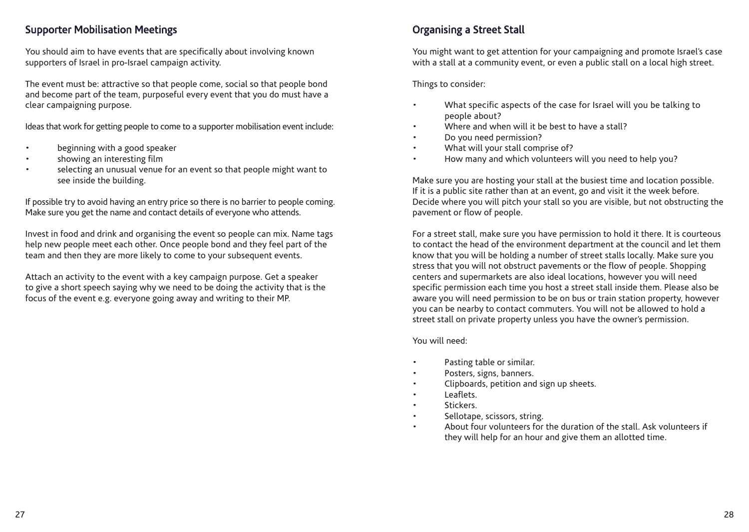### Supporter Mobilisation Meetings

You should aim to have events that are specifically about involving known supporters of Israel in pro-Israel campaign activity.

The event must be: attractive so that people come, social so that people bond and become part of the team, purposeful every event that you do must have a clear campaigning purpose.

Ideas that work for getting people to come to a supporter mobilisation event include:

- beginning with a good speaker
- showing an interesting film
- selecting an unusual venue for an event so that people might want to see inside the building.

If possible try to avoid having an entry price so there is no barrier to people coming. Make sure you get the name and contact details of everyone who attends.

Invest in food and drink and organising the event so people can mix. Name tags help new people meet each other. Once people bond and they feel part of the team and then they are more likely to come to your subsequent events.

Attach an activity to the event with a key campaign purpose. Get a speaker to give a short speech saying why we need to be doing the activity that is the focus of the event e.g. everyone going away and writing to their MP.

# Organising a Street Stall

You might want to get attention for your campaigning and promote Israel's case with a stall at a community event, or even a public stall on a local high street.

Things to consider:

- What specific aspects of the case for Israel will you be talking to people about?
- Where and when will it be best to have a stall?
- Do you need permission?
- What will your stall comprise of?
- How many and which volunteers will you need to help you?

Make sure you are hosting your stall at the busiest time and location possible. If it is a public site rather than at an event, go and visit it the week before. Decide where you will pitch your stall so you are visible, but not obstructing the pavement or flow of people.

For a street stall, make sure you have permission to hold it there. It is courteous to contact the head of the environment department at the council and let them know that you will be holding a number of street stalls locally. Make sure you stress that you will not obstruct pavements or the flow of people. Shopping centers and supermarkets are also ideal locations, however you will need specific permission each time you host a street stall inside them. Please also be aware you will need permission to be on bus or train station property, however you can be nearby to contact commuters. You will not be allowed to hold a street stall on private property unless you have the owner's permission.

You will need:

- Pasting table or similar.
- Posters, signs, banners.
- Clipboards, petition and sign up sheets.
- Leaflets.
- Stickers.
- Sellotape, scissors, string.
- About four volunteers for the duration of the stall. Ask volunteers if they will help for an hour and give them an allotted time.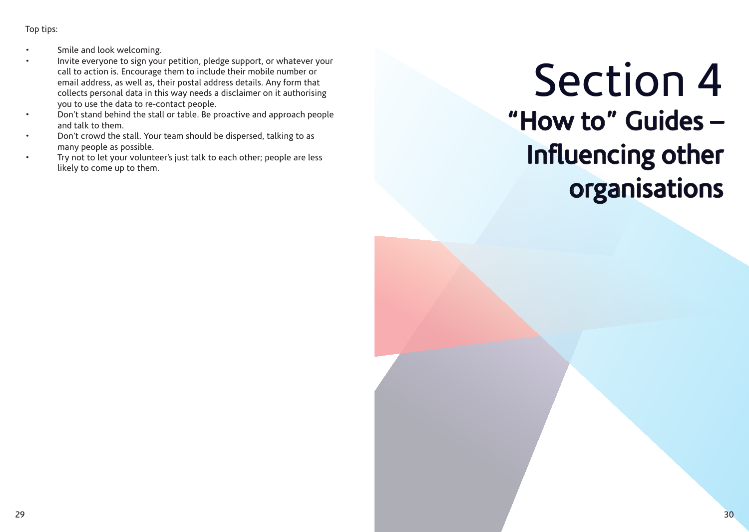Top tips:

- Smile and look welcoming.
- Invite everyone to sign your petition, pledge support, or whatever your call to action is. Encourage them to include their mobile number or email address, as well as, their postal address details. Any form that collects personal data in this way needs a disclaimer on it authorising you to use the data to re-contact people.
- Don't stand behind the stall or table. Be proactive and approach people and talk to them.
- Don't crowd the stall. Your team should be dispersed, talking to as many people as possible.
- Try not to let your volunteer's just talk to each other; people are less likely to come up to them.

# Section 4 "How to" Guides – Influencing other organisations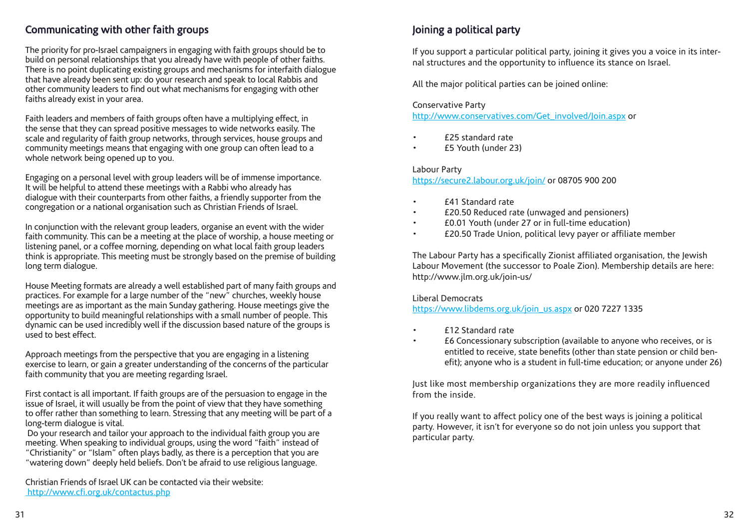### Communicating with other faith groups

The priority for pro-Israel campaigners in engaging with faith groups should be to build on personal relationships that you already have with people of other faiths. There is no point duplicating existing groups and mechanisms for interfaith dialogue that have already been sent up: do your research and speak to local Rabbis and other community leaders to find out what mechanisms for engaging with other faiths already exist in your area.

Faith leaders and members of faith groups often have a multiplying effect, in the sense that they can spread positive messages to wide networks easily. The scale and regularity of faith group networks, through services, house groups and community meetings means that engaging with one group can often lead to a whole network being opened up to you.

Engaging on a personal level with group leaders will be of immense importance. It will be helpful to attend these meetings with a Rabbi who already has dialogue with their counterparts from other faiths, a friendly supporter from the congregation or a national organisation such as Christian Friends of Israel.

In conjunction with the relevant group leaders, organise an event with the wider faith community. This can be a meeting at the place of worship, a house meeting or listening panel, or a coffee morning, depending on what local faith group leaders think is appropriate. This meeting must be strongly based on the premise of building long term dialogue.

House Meeting formats are already a well established part of many faith groups and practices. For example for a large number of the "new" churches, weekly house meetings are as important as the main Sunday gathering. House meetings give the opportunity to build meaningful relationships with a small number of people. This dynamic can be used incredibly well if the discussion based nature of the groups is used to best effect.

Approach meetings from the perspective that you are engaging in a listening exercise to learn, or gain a greater understanding of the concerns of the particular faith community that you are meeting regarding Israel.

First contact is all important. If faith groups are of the persuasion to engage in the issue of Israel, it will usually be from the point of view that they have something to offer rather than something to learn. Stressing that any meeting will be part of a long-term dialogue is vital.

 Do your research and tailor your approach to the individual faith group you are meeting. When speaking to individual groups, using the word "faith" instead of "Christianity" or "Islam" often plays badly, as there is a perception that you are "watering down" deeply held beliefs. Don't be afraid to use religious language.

Christian Friends of Israel UK can be contacted via their website: http://www.cfi.org.uk/contactus.php

# Joining a political party

If you support a particular political party, joining it gives you a voice in its internal structures and the opportunity to influence its stance on Israel.

All the major political parties can be joined online:

#### Conservative Party

http://www.conservatives.com/Get\_involved/Join.aspx or

- £25 standard rate
- £5 Youth (under 23)

#### Labour Party

https://secure2.labour.org.uk/join/ or 08705 900 200

- £41 Standard rate
- £20.50 Reduced rate (unwaged and pensioners)
- £0.01 Youth (under 27 or in full-time education)
- £20.50 Trade Union, political levy payer or affiliate member

The Labour Party has a specifically Zionist affiliated organisation, the Jewish Labour Movement (the successor to Poale Zion). Membership details are here: http://www.jlm.org.uk/join-us/

Liberal Democrats

https://www.libdems.org.uk/join\_us.aspx or 020 7227 1335

- £12 Standard rate
- £6 Concessionary subscription (available to anyone who receives, or is entitled to receive, state benefits (other than state pension or child benefit); anyone who is a student in full-time education; or anyone under 26)

Just like most membership organizations they are more readily influenced from the inside.

If you really want to affect policy one of the best ways is joining a political party. However, it isn't for everyone so do not join unless you support that particular party.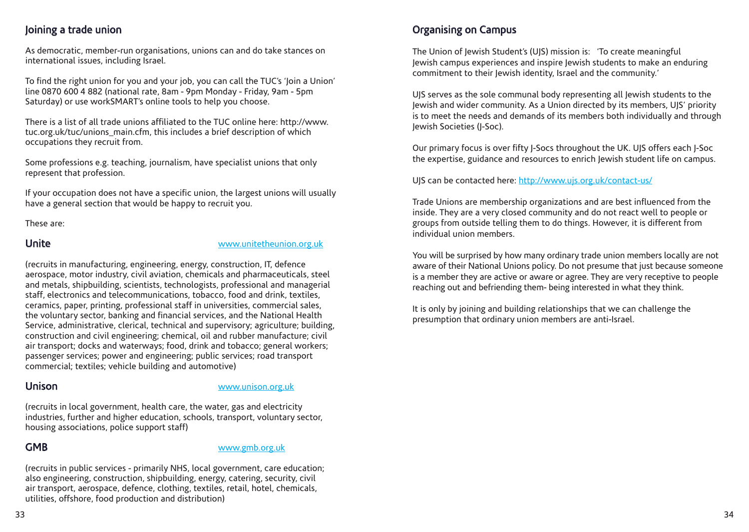# Joining a trade union

As democratic, member-run organisations, unions can and do take stances on international issues, including Israel.

To find the right union for you and your job, you can call the TUC's 'Join a Union' line 0870 600 4 882 (national rate, 8am - 9pm Monday - Friday, 9am - 5pm Saturday) or use workSMART's online tools to help you choose.

There is a list of all trade unions affiliated to the TUC online here: http://www. tuc.org.uk/tuc/unions\_main.cfm, this includes a brief description of which occupations they recruit from.

Some professions e.g. teaching, journalism, have specialist unions that only represent that profession.

If your occupation does not have a specific union, the largest unions will usually have a general section that would be happy to recruit you.

These are:

#### Unite www.unitetheunion.org.uk

(recruits in manufacturing, engineering, energy, construction, IT, defence aerospace, motor industry, civil aviation, chemicals and pharmaceuticals, steel and metals, shipbuilding, scientists, technologists, professional and managerial staff, electronics and telecommunications, tobacco, food and drink, textiles, ceramics, paper, printing, professional staff in universities, commercial sales, the voluntary sector, banking and financial services, and the National Health Service, administrative, clerical, technical and supervisory; agriculture; building, construction and civil engineering; chemical, oil and rubber manufacture; civil air transport; docks and waterways; food, drink and tobacco; general workers; passenger services; power and engineering; public services; road transport commercial; textiles; vehicle building and automotive)

#### Unison www.unison.org.uk

(recruits in local government, health care, the water, gas and electricity industries, further and higher education, schools, transport, voluntary sector, housing associations, police support staff)

#### GMB www.gmb.org.uk

(recruits in public services - primarily NHS, local government, care education; also engineering, construction, shipbuilding, energy, catering, security, civil air transport, aerospace, defence, clothing, textiles, retail, hotel, chemicals, utilities, offshore, food production and distribution)

# Organising on Campus

The Union of Jewish Student's (UJS) mission is: 'To create meaningful Jewish campus experiences and inspire Jewish students to make an enduring commitment to their Jewish identity, Israel and the community.'

UJS serves as the sole communal body representing all Jewish students to the Jewish and wider community. As a Union directed by its members, UJS' priority is to meet the needs and demands of its members both individually and through Jewish Societies (J-Soc).

Our primary focus is over fifty J-Socs throughout the UK. UJS offers each J-Soc the expertise, guidance and resources to enrich Jewish student life on campus.

UJS can be contacted here: http://www.ujs.org.uk/contact-us/

Trade Unions are membership organizations and are best influenced from the inside. They are a very closed community and do not react well to people or groups from outside telling them to do things. However, it is different from individual union members.

You will be surprised by how many ordinary trade union members locally are not aware of their National Unions policy. Do not presume that just because someone is a member they are active or aware or agree. They are very receptive to people reaching out and befriending them- being interested in what they think.

It is only by joining and building relationships that we can challenge the presumption that ordinary union members are anti-Israel.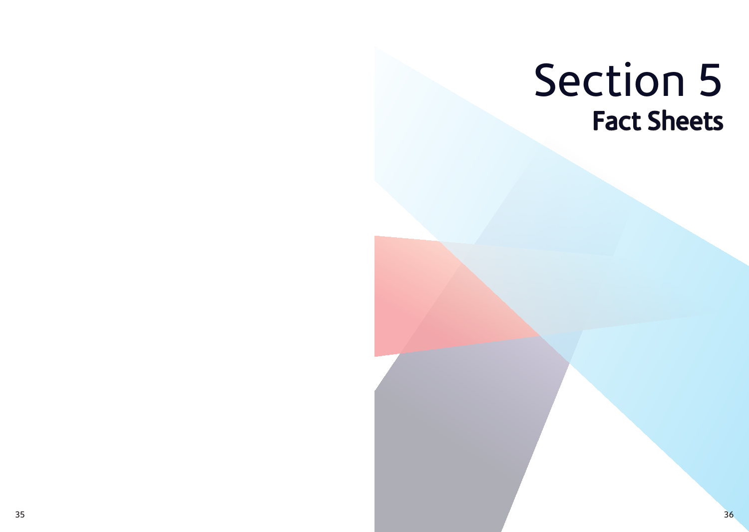# Section 5 Fact Sheets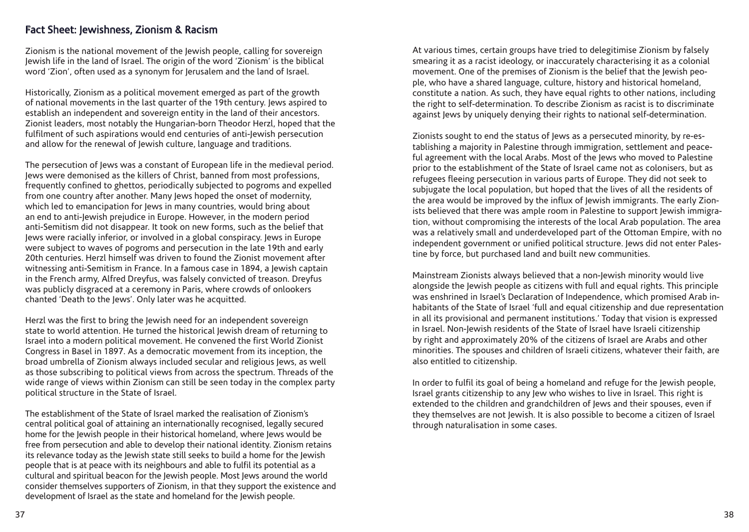#### Fact Sheet: Jewishness, Zionism & Racism

Zionism is the national movement of the Jewish people, calling for sovereign Jewish life in the land of Israel. The origin of the word 'Zionism' is the biblical word 'Zion', often used as a synonym for Jerusalem and the land of Israel.

Historically, Zionism as a political movement emerged as part of the growth of national movements in the last quarter of the 19th century. Jews aspired to establish an independent and sovereign entity in the land of their ancestors. Zionist leaders, most notably the Hungarian-born Theodor Herzl, hoped that the fulfilment of such aspirations would end centuries of anti-Jewish persecution and allow for the renewal of Jewish culture, language and traditions.

The persecution of Jews was a constant of European life in the medieval period. Jews were demonised as the killers of Christ, banned from most professions, frequently confined to ghettos, periodically subjected to pogroms and expelled from one country after another. Many Jews hoped the onset of modernity, which led to emancipation for lews in many countries, would bring about an end to anti-Jewish prejudice in Europe. However, in the modern period anti-Semitism did not disappear. It took on new forms, such as the belief that Jews were racially inferior, or involved in a global conspiracy. Jews in Europe were subject to waves of pogroms and persecution in the late 19th and early 20th centuries. Herzl himself was driven to found the Zionist movement after witnessing anti-Semitism in France. In a famous case in 1894, a Jewish captain in the French army, Alfred Dreyfus, was falsely convicted of treason. Dreyfus was publicly disgraced at a ceremony in Paris, where crowds of onlookers chanted 'Death to the Jews'. Only later was he acquitted.

Herzl was the first to bring the Jewish need for an independent sovereign state to world attention. He turned the historical lewish dream of returning to Israel into a modern political movement. He convened the first World Zionist Congress in Basel in 1897. As a democratic movement from its inception, the broad umbrella of Zionism always included secular and religious Jews, as well as those subscribing to political views from across the spectrum. Threads of the wide range of views within Zionism can still be seen today in the complex party political structure in the State of Israel.

The establishment of the State of Israel marked the realisation of Zionism's central political goal of attaining an internationally recognised, legally secured home for the Jewish people in their historical homeland, where Jews would be free from persecution and able to develop their national identity. Zionism retains its relevance today as the Jewish state still seeks to build a home for the Jewish people that is at peace with its neighbours and able to fulfil its potential as a cultural and spiritual beacon for the Jewish people. Most Jews around the world consider themselves supporters of Zionism, in that they support the existence and development of Israel as the state and homeland for the Jewish people.

At various times, certain groups have tried to delegitimise Zionism by falsely smearing it as a racist ideology, or inaccurately characterising it as a colonial movement. One of the premises of Zionism is the belief that the Jewish people, who have a shared language, culture, history and historical homeland, constitute a nation. As such, they have equal rights to other nations, including the right to self-determination. To describe Zionism as racist is to discriminate against Jews by uniquely denying their rights to national self-determination.

Zionists sought to end the status of Jews as a persecuted minority, by re-establishing a majority in Palestine through immigration, settlement and peaceful agreement with the local Arabs. Most of the Jews who moved to Palestine prior to the establishment of the State of Israel came not as colonisers, but as refugees fleeing persecution in various parts of Europe. They did not seek to subjugate the local population, but hoped that the lives of all the residents of the area would be improved by the influx of Jewish immigrants. The early Zionists believed that there was ample room in Palestine to support Jewish immigration, without compromising the interests of the local Arab population. The area was a relatively small and underdeveloped part of the Ottoman Empire, with no independent government or unified political structure. Jews did not enter Palestine by force, but purchased land and built new communities.

Mainstream Zionists always believed that a non-Jewish minority would live alongside the Jewish people as citizens with full and equal rights. This principle was enshrined in Israel's Declaration of Independence, which promised Arab inhabitants of the State of Israel 'full and equal citizenship and due representation in all its provisional and permanent institutions.' Today that vision is expressed in Israel. Non-Jewish residents of the State of Israel have Israeli citizenship by right and approximately 20% of the citizens of Israel are Arabs and other minorities. The spouses and children of Israeli citizens, whatever their faith, are also entitled to citizenship.

In order to fulfil its goal of being a homeland and refuge for the Jewish people, Israel grants citizenship to any Jew who wishes to live in Israel. This right is extended to the children and grandchildren of Jews and their spouses, even if they themselves are not Jewish. It is also possible to become a citizen of Israel through naturalisation in some cases.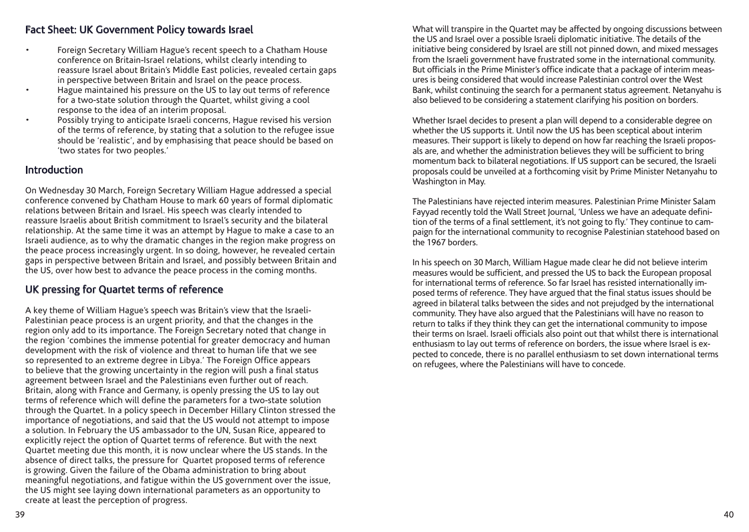#### Fact Sheet: UK Government Policy towards Israel

- Foreign Secretary William Hague's recent speech to a Chatham House conference on Britain-Israel relations, whilst clearly intending to reassure Israel about Britain's Middle East policies, revealed certain gaps in perspective between Britain and Israel on the peace process.
- Hague maintained his pressure on the US to lay out terms of reference for a two-state solution through the Quartet, whilst giving a cool response to the idea of an interim proposal.
- Possibly trying to anticipate Israeli concerns, Hague revised his version of the terms of reference, by stating that a solution to the refugee issue should be 'realistic', and by emphasising that peace should be based on 'two states for two peoples.'

## **Introduction**

On Wednesday 30 March, Foreign Secretary William Hague addressed a special conference convened by Chatham House to mark 60 years of formal diplomatic relations between Britain and Israel. His speech was clearly intended to reassure Israelis about British commitment to Israel's security and the bilateral relationship. At the same time it was an attempt by Hague to make a case to an Israeli audience, as to why the dramatic changes in the region make progress on the peace process increasingly urgent. In so doing, however, he revealed certain gaps in perspective between Britain and Israel, and possibly between Britain and the US, over how best to advance the peace process in the coming months.

# UK pressing for Quartet terms of reference

A key theme of William Hague's speech was Britain's view that the Israeli-Palestinian peace process is an urgent priority, and that the changes in the region only add to its importance. The Foreign Secretary noted that change in the region 'combines the immense potential for greater democracy and human development with the risk of violence and threat to human life that we see so represented to an extreme degree in Libya.' The Foreign Office appears to believe that the growing uncertainty in the region will push a final status agreement between Israel and the Palestinians even further out of reach. Britain, along with France and Germany, is openly pressing the US to lay out terms of reference which will define the parameters for a two-state solution through the Quartet. In a policy speech in December Hillary Clinton stressed the importance of negotiations, and said that the US would not attempt to impose a solution. In February the US ambassador to the UN, Susan Rice, appeared to explicitly reject the option of Quartet terms of reference. But with the next Quartet meeting due this month, it is now unclear where the US stands. In the absence of direct talks, the pressure for Quartet proposed terms of reference is growing. Given the failure of the Obama administration to bring about meaningful negotiations, and fatigue within the US government over the issue, the US might see laying down international parameters as an opportunity to create at least the perception of progress.

What will transpire in the Quartet may be affected by ongoing discussions between the US and Israel over a possible Israeli diplomatic initiative. The details of the initiative being considered by Israel are still not pinned down, and mixed messages from the Israeli government have frustrated some in the international community. But officials in the Prime Minister's office indicate that a package of interim measures is being considered that would increase Palestinian control over the West Bank, whilst continuing the search for a permanent status agreement. Netanyahu is also believed to be considering a statement clarifying his position on borders.

Whether Israel decides to present a plan will depend to a considerable degree on whether the US supports it. Until now the US has been sceptical about interim measures. Their support is likely to depend on how far reaching the Israeli proposals are, and whether the administration believes they will be sufficient to bring momentum back to bilateral negotiations. If US support can be secured, the Israeli proposals could be unveiled at a forthcoming visit by Prime Minister Netanyahu to Washington in May.

The Palestinians have rejected interim measures. Palestinian Prime Minister Salam Fayyad recently told the Wall Street Journal, 'Unless we have an adequate definition of the terms of a final settlement, it's not going to fly.' They continue to campaign for the international community to recognise Palestinian statehood based on the 1967 borders.

In his speech on 30 March, William Hague made clear he did not believe interim measures would be sufficient, and pressed the US to back the European proposal for international terms of reference. So far Israel has resisted internationally imposed terms of reference. They have argued that the final status issues should be agreed in bilateral talks between the sides and not prejudged by the international community. They have also argued that the Palestinians will have no reason to return to talks if they think they can get the international community to impose their terms on Israel. Israeli officials also point out that whilst there is international enthusiasm to lay out terms of reference on borders, the issue where Israel is expected to concede, there is no parallel enthusiasm to set down international terms on refugees, where the Palestinians will have to concede.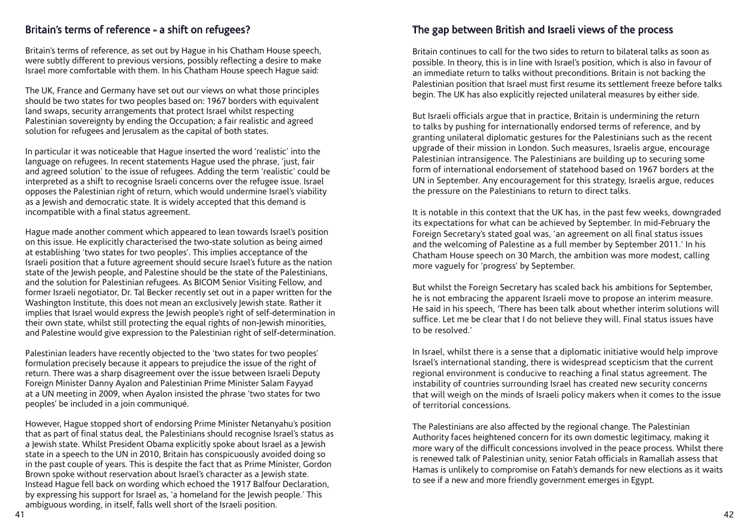#### Britain's terms of reference - a shift on refugees?

Britain's terms of reference, as set out by Hague in his Chatham House speech, were subtly different to previous versions, possibly reflecting a desire to make Israel more comfortable with them. In his Chatham House speech Hague said:

The UK, France and Germany have set out our views on what those principles should be two states for two peoples based on: 1967 borders with equivalent land swaps, security arrangements that protect Israel whilst respecting Palestinian sovereignty by ending the Occupation; a fair realistic and agreed solution for refugees and Jerusalem as the capital of both states.

In particular it was noticeable that Hague inserted the word 'realistic' into the language on refugees. In recent statements Hague used the phrase, 'just, fair and agreed solution' to the issue of refugees. Adding the term 'realistic' could be interpreted as a shift to recognise Israeli concerns over the refugee issue. Israel opposes the Palestinian right of return, which would undermine Israel's viability as a Jewish and democratic state. It is widely accepted that this demand is incompatible with a final status agreement.

Hague made another comment which appeared to lean towards Israel's position on this issue. He explicitly characterised the two-state solution as being aimed at establishing 'two states for two peoples'. This implies acceptance of the Israeli position that a future agreement should secure Israel's future as the nation state of the Jewish people, and Palestine should be the state of the Palestinians, and the solution for Palestinian refugees. As BICOM Senior Visiting Fellow, and former Israeli negotiator, Dr. Tal Becker recently set out in a paper written for the Washington Institute, this does not mean an exclusively lewish state. Rather it implies that Israel would express the Jewish people's right of self-determination in their own state, whilst still protecting the equal rights of non-Jewish minorities, and Palestine would give expression to the Palestinian right of self-determination.

Palestinian leaders have recently objected to the 'two states for two peoples' formulation precisely because it appears to prejudice the issue of the right of return. There was a sharp disagreement over the issue between Israeli Deputy Foreign Minister Danny Ayalon and Palestinian Prime Minister Salam Fayyad at a UN meeting in 2009, when Ayalon insisted the phrase 'two states for two peoples' be included in a join communiqué.

However, Hague stopped short of endorsing Prime Minister Netanyahu's position that as part of final status deal, the Palestinians should recognise Israel's status as a Jewish state. Whilst President Obama explicitly spoke about Israel as a Jewish state in a speech to the UN in 2010, Britain has conspicuously avoided doing so in the past couple of years. This is despite the fact that as Prime Minister, Gordon Brown spoke without reservation about Israel's character as a Jewish state. Instead Hague fell back on wording which echoed the 1917 Balfour Declaration, by expressing his support for Israel as, 'a homeland for the Jewish people.' This ambiguous wording, in itself, falls well short of the Israeli position.

## The gap between British and Israeli views of the process

Britain continues to call for the two sides to return to bilateral talks as soon as possible. In theory, this is in line with Israel's position, which is also in favour of an immediate return to talks without preconditions. Britain is not backing the Palestinian position that Israel must first resume its settlement freeze before talks begin. The UK has also explicitly rejected unilateral measures by either side.

But Israeli officials argue that in practice, Britain is undermining the return to talks by pushing for internationally endorsed terms of reference, and by granting unilateral diplomatic gestures for the Palestinians such as the recent upgrade of their mission in London. Such measures, Israelis argue, encourage Palestinian intransigence. The Palestinians are building up to securing some form of international endorsement of statehood based on 1967 borders at the UN in September. Any encouragement for this strategy, Israelis argue, reduces the pressure on the Palestinians to return to direct talks.

It is notable in this context that the UK has, in the past few weeks, downgraded its expectations for what can be achieved by September. In mid-February the Foreign Secretary's stated goal was, 'an agreement on all final status issues and the welcoming of Palestine as a full member by September 2011.' In his Chatham House speech on 30 March, the ambition was more modest, calling more vaguely for 'progress' by September.

But whilst the Foreign Secretary has scaled back his ambitions for September, he is not embracing the apparent Israeli move to propose an interim measure. He said in his speech, 'There has been talk about whether interim solutions will suffice. Let me be clear that I do not believe they will. Final status issues have to be resolved.'

In Israel, whilst there is a sense that a diplomatic initiative would help improve Israel's international standing, there is widespread scepticism that the current regional environment is conducive to reaching a final status agreement. The instability of countries surrounding Israel has created new security concerns that will weigh on the minds of Israeli policy makers when it comes to the issue of territorial concessions.

The Palestinians are also affected by the regional change. The Palestinian Authority faces heightened concern for its own domestic legitimacy, making it more wary of the difficult concessions involved in the peace process. Whilst there is renewed talk of Palestinian unity, senior Fatah officials in Ramallah assess that Hamas is unlikely to compromise on Fatah's demands for new elections as it waits to see if a new and more friendly government emerges in Egypt.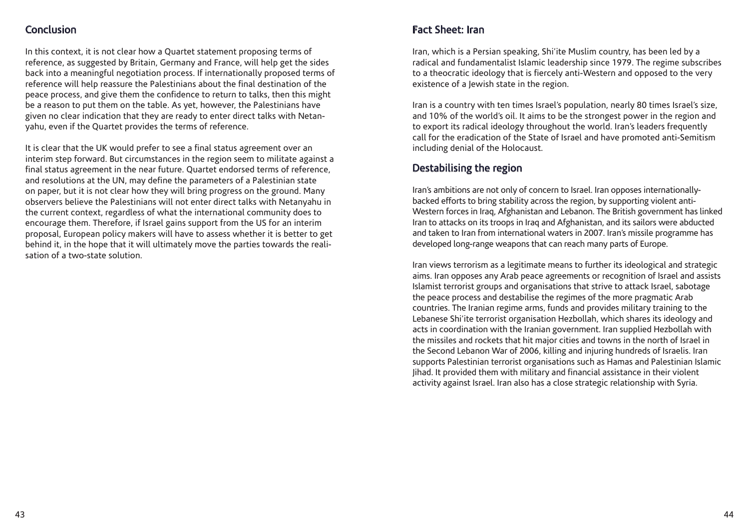# Conclusion

In this context, it is not clear how a Quartet statement proposing terms of reference, as suggested by Britain, Germany and France, will help get the sides back into a meaningful negotiation process. If internationally proposed terms of reference will help reassure the Palestinians about the final destination of the peace process, and give them the confidence to return to talks, then this might be a reason to put them on the table. As yet, however, the Palestinians have given no clear indication that they are ready to enter direct talks with Netanyahu, even if the Quartet provides the terms of reference.

It is clear that the UK would prefer to see a final status agreement over an interim step forward. But circumstances in the region seem to militate against a final status agreement in the near future. Quartet endorsed terms of reference, and resolutions at the UN, may define the parameters of a Palestinian state on paper, but it is not clear how they will bring progress on the ground. Many observers believe the Palestinians will not enter direct talks with Netanyahu in the current context, regardless of what the international community does to encourage them. Therefore, if Israel gains support from the US for an interim proposal, European policy makers will have to assess whether it is better to get behind it, in the hope that it will ultimately move the parties towards the realisation of a two-state solution.

# Fact Sheet: Iran

Iran, which is a Persian speaking, Shi'ite Muslim country, has been led by a radical and fundamentalist Islamic leadership since 1979. The regime subscribes to a theocratic ideology that is fiercely anti-Western and opposed to the very existence of a Jewish state in the region.

Iran is a country with ten times Israel's population, nearly 80 times Israel's size, and 10% of the world's oil. It aims to be the strongest power in the region and to export its radical ideology throughout the world. Iran's leaders frequently call for the eradication of the State of Israel and have promoted anti-Semitism including denial of the Holocaust.

### Destabilising the region

Iran's ambitions are not only of concern to Israel. Iran opposes internationallybacked efforts to bring stability across the region, by supporting violent anti-Western forces in Iraq, Afghanistan and Lebanon. The British government has linked Iran to attacks on its troops in Iraq and Afghanistan, and its sailors were abducted and taken to Iran from international waters in 2007. Iran's missile programme has developed long-range weapons that can reach many parts of Europe.

Iran views terrorism as a legitimate means to further its ideological and strategic aims. Iran opposes any Arab peace agreements or recognition of Israel and assists Islamist terrorist groups and organisations that strive to attack Israel, sabotage the peace process and destabilise the regimes of the more pragmatic Arab countries. The Iranian regime arms, funds and provides military training to the Lebanese Shi'ite terrorist organisation Hezbollah, which shares its ideology and acts in coordination with the Iranian government. Iran supplied Hezbollah with the missiles and rockets that hit major cities and towns in the north of Israel in the Second Lebanon War of 2006, killing and injuring hundreds of Israelis. Iran supports Palestinian terrorist organisations such as Hamas and Palestinian Islamic Jihad. It provided them with military and financial assistance in their violent activity against Israel. Iran also has a close strategic relationship with Syria.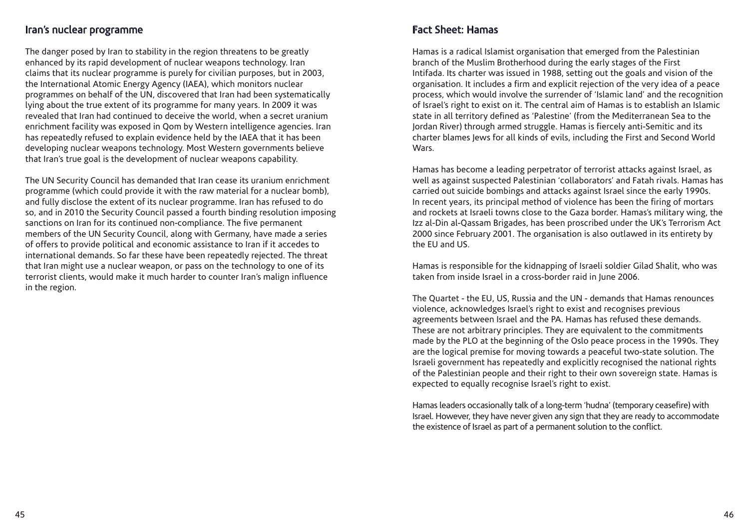#### Iran's nuclear programme

The danger posed by Iran to stability in the region threatens to be greatly enhanced by its rapid development of nuclear weapons technology. Iran claims that its nuclear programme is purely for civilian purposes, but in 2003, the International Atomic Energy Agency (IAEA), which monitors nuclear programmes on behalf of the UN, discovered that Iran had been systematically lying about the true extent of its programme for many years. In 2009 it was revealed that Iran had continued to deceive the world, when a secret uranium enrichment facility was exposed in Qom by Western intelligence agencies. Iran has repeatedly refused to explain evidence held by the IAEA that it has been developing nuclear weapons technology. Most Western governments believe that Iran's true goal is the development of nuclear weapons capability.

The UN Security Council has demanded that Iran cease its uranium enrichment programme (which could provide it with the raw material for a nuclear bomb), and fully disclose the extent of its nuclear programme. Iran has refused to do so, and in 2010 the Security Council passed a fourth binding resolution imposing sanctions on Iran for its continued non-compliance. The five permanent members of the UN Security Council, along with Germany, have made a series of offers to provide political and economic assistance to Iran if it accedes to international demands. So far these have been repeatedly rejected. The threat that Iran might use a nuclear weapon, or pass on the technology to one of its terrorist clients, would make it much harder to counter Iran's malign influence in the region.

### Fact Sheet: Hamas

Hamas is a radical Islamist organisation that emerged from the Palestinian branch of the Muslim Brotherhood during the early stages of the First Intifada. Its charter was issued in 1988, setting out the goals and vision of the organisation. It includes a firm and explicit rejection of the very idea of a peace process, which would involve the surrender of 'Islamic land' and the recognition of Israel's right to exist on it. The central aim of Hamas is to establish an Islamic state in all territory defined as 'Palestine' (from the Mediterranean Sea to the Jordan River) through armed struggle. Hamas is fiercely anti-Semitic and its charter blames Jews for all kinds of evils, including the First and Second World Wars.

Hamas has become a leading perpetrator of terrorist attacks against Israel, as well as against suspected Palestinian 'collaborators' and Fatah rivals. Hamas has carried out suicide bombings and attacks against Israel since the early 1990s. In recent years, its principal method of violence has been the firing of mortars and rockets at Israeli towns close to the Gaza border. Hamas's military wing, the Izz al-Din al-Qassam Brigades, has been proscribed under the UK's Terrorism Act 2000 since February 2001. The organisation is also outlawed in its entirety by the EU and US.

Hamas is responsible for the kidnapping of Israeli soldier Gilad Shalit, who was taken from inside Israel in a cross-border raid in June 2006.

The Quartet - the EU, US, Russia and the UN - demands that Hamas renounces violence, acknowledges Israel's right to exist and recognises previous agreements between Israel and the PA. Hamas has refused these demands. These are not arbitrary principles. They are equivalent to the commitments made by the PLO at the beginning of the Oslo peace process in the 1990s. They are the logical premise for moving towards a peaceful two-state solution. The Israeli government has repeatedly and explicitly recognised the national rights of the Palestinian people and their right to their own sovereign state. Hamas is expected to equally recognise Israel's right to exist.

Hamas leaders occasionally talk of a long-term 'hudna' (temporary ceasefire) with Israel. However, they have never given any sign that they are ready to accommodate the existence of Israel as part of a permanent solution to the conflict.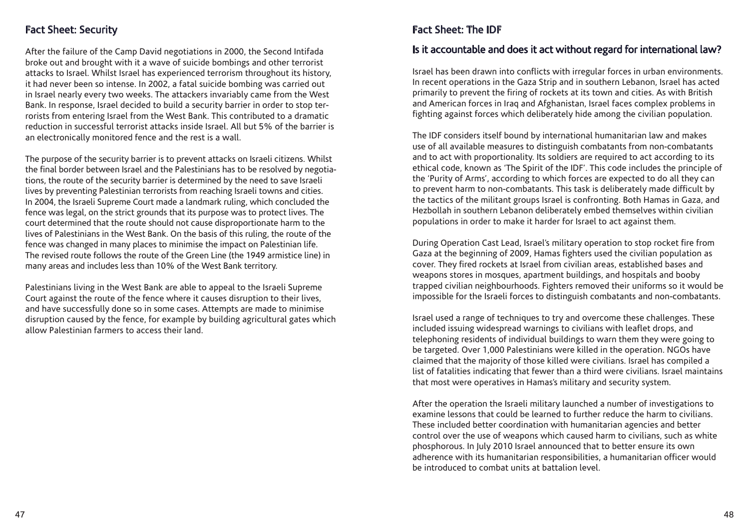## Fact Sheet: Security

After the failure of the Camp David negotiations in 2000, the Second Intifada broke out and brought with it a wave of suicide bombings and other terrorist attacks to Israel. Whilst Israel has experienced terrorism throughout its history, it had never been so intense. In 2002, a fatal suicide bombing was carried out in Israel nearly every two weeks. The attackers invariably came from the West Bank. In response, Israel decided to build a security barrier in order to stop terrorists from entering Israel from the West Bank. This contributed to a dramatic reduction in successful terrorist attacks inside Israel. All but 5% of the barrier is an electronically monitored fence and the rest is a wall.

The purpose of the security barrier is to prevent attacks on Israeli citizens. Whilst the final border between Israel and the Palestinians has to be resolved by negotiations, the route of the security barrier is determined by the need to save Israeli lives by preventing Palestinian terrorists from reaching Israeli towns and cities. In 2004, the Israeli Supreme Court made a landmark ruling, which concluded the fence was legal, on the strict grounds that its purpose was to protect lives. The court determined that the route should not cause disproportionate harm to the lives of Palestinians in the West Bank. On the basis of this ruling, the route of the fence was changed in many places to minimise the impact on Palestinian life. The revised route follows the route of the Green Line (the 1949 armistice line) in many areas and includes less than 10% of the West Bank territory.

Palestinians living in the West Bank are able to appeal to the Israeli Supreme Court against the route of the fence where it causes disruption to their lives, and have successfully done so in some cases. Attempts are made to minimise disruption caused by the fence, for example by building agricultural gates which allow Palestinian farmers to access their land.

# Fact Sheet: The IDF

#### Is it accountable and does it act without regard for international law?

Israel has been drawn into conflicts with irregular forces in urban environments. In recent operations in the Gaza Strip and in southern Lebanon, Israel has acted primarily to prevent the firing of rockets at its town and cities. As with British and American forces in Iraq and Afghanistan, Israel faces complex problems in fighting against forces which deliberately hide among the civilian population.

The IDF considers itself bound by international humanitarian law and makes use of all available measures to distinguish combatants from non-combatants and to act with proportionality. Its soldiers are required to act according to its ethical code, known as 'The Spirit of the IDF'. This code includes the principle of the 'Purity of Arms', according to which forces are expected to do all they can to prevent harm to non-combatants. This task is deliberately made difficult by the tactics of the militant groups Israel is confronting. Both Hamas in Gaza, and Hezbollah in southern Lebanon deliberately embed themselves within civilian populations in order to make it harder for Israel to act against them.

During Operation Cast Lead, Israel's military operation to stop rocket fire from Gaza at the beginning of 2009, Hamas fighters used the civilian population as cover. They fired rockets at Israel from civilian areas, established bases and weapons stores in mosques, apartment buildings, and hospitals and booby trapped civilian neighbourhoods. Fighters removed their uniforms so it would be impossible for the Israeli forces to distinguish combatants and non-combatants.

Israel used a range of techniques to try and overcome these challenges. These included issuing widespread warnings to civilians with leaflet drops, and telephoning residents of individual buildings to warn them they were going to be targeted. Over 1,000 Palestinians were killed in the operation. NGOs have claimed that the majority of those killed were civilians. Israel has compiled a list of fatalities indicating that fewer than a third were civilians. Israel maintains that most were operatives in Hamas's military and security system.

After the operation the Israeli military launched a number of investigations to examine lessons that could be learned to further reduce the harm to civilians. These included better coordination with humanitarian agencies and better control over the use of weapons which caused harm to civilians, such as white phosphorous. In July 2010 Israel announced that to better ensure its own adherence with its humanitarian responsibilities, a humanitarian officer would be introduced to combat units at battalion level.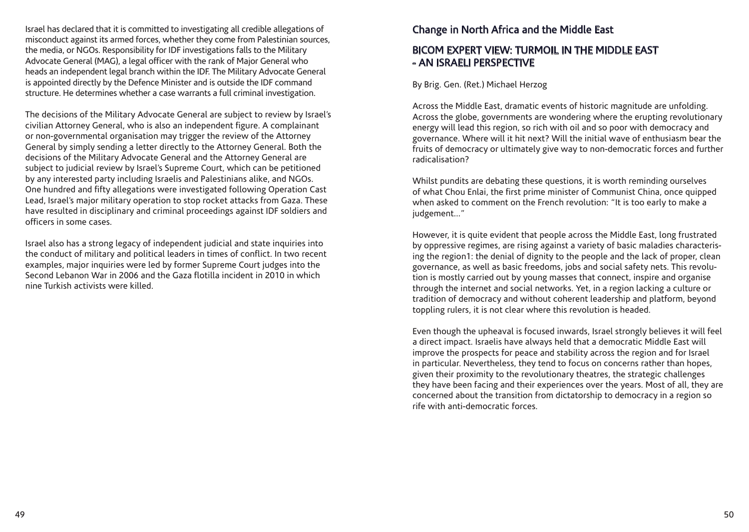Israel has declared that it is committed to investigating all credible allegations of misconduct against its armed forces, whether they come from Palestinian sources, the media, or NGOs. Responsibility for IDF investigations falls to the Military Advocate General (MAG), a legal officer with the rank of Major General who heads an independent legal branch within the IDF. The Military Advocate General is appointed directly by the Defence Minister and is outside the IDF command structure. He determines whether a case warrants a full criminal investigation.

The decisions of the Military Advocate General are subject to review by Israel's civilian Attorney General, who is also an independent figure. A complainant or non-governmental organisation may trigger the review of the Attorney General by simply sending a letter directly to the Attorney General. Both the decisions of the Military Advocate General and the Attorney General are subject to judicial review by Israel's Supreme Court, which can be petitioned by any interested party including Israelis and Palestinians alike, and NGOs. One hundred and fifty allegations were investigated following Operation Cast Lead, Israel's major military operation to stop rocket attacks from Gaza. These have resulted in disciplinary and criminal proceedings against IDF soldiers and officers in some cases.

Israel also has a strong legacy of independent judicial and state inquiries into the conduct of military and political leaders in times of conflict. In two recent examples, major inquiries were led by former Supreme Court judges into the Second Lebanon War in 2006 and the Gaza flotilla incident in 2010 in which nine Turkish activists were killed.

### Change in North Africa and the Middle East

### BICOM EXPERT VIEW: TURMOIL IN THE MIDDLE EAST - AN ISRAELI PERSPECTIVE

By Brig. Gen. (Ret.) Michael Herzog

Across the Middle East, dramatic events of historic magnitude are unfolding. Across the globe, governments are wondering where the erupting revolutionary energy will lead this region, so rich with oil and so poor with democracy and governance. Where will it hit next? Will the initial wave of enthusiasm bear the fruits of democracy or ultimately give way to non-democratic forces and further radicalisation?

Whilst pundits are debating these questions, it is worth reminding ourselves of what Chou Enlai, the first prime minister of Communist China, once quipped when asked to comment on the French revolution: "It is too early to make a judgement..."

However, it is quite evident that people across the Middle East, long frustrated by oppressive regimes, are rising against a variety of basic maladies characterising the region1: the denial of dignity to the people and the lack of proper, clean governance, as well as basic freedoms, jobs and social safety nets. This revolution is mostly carried out by young masses that connect, inspire and organise through the internet and social networks. Yet, in a region lacking a culture or tradition of democracy and without coherent leadership and platform, beyond toppling rulers, it is not clear where this revolution is headed.

Even though the upheaval is focused inwards, Israel strongly believes it will feel a direct impact. Israelis have always held that a democratic Middle East will improve the prospects for peace and stability across the region and for Israel in particular. Nevertheless, they tend to focus on concerns rather than hopes, given their proximity to the revolutionary theatres, the strategic challenges they have been facing and their experiences over the years. Most of all, they are concerned about the transition from dictatorship to democracy in a region so rife with anti-democratic forces.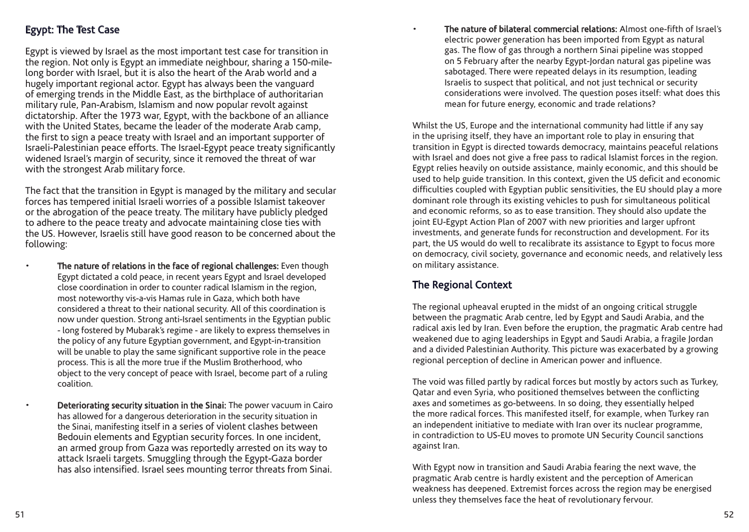Egypt is viewed by Israel as the most important test case for transition in the region. Not only is Egypt an immediate neighbour, sharing a 150-milelong border with Israel, but it is also the heart of the Arab world and a hugely important regional actor. Egypt has always been the vanguard of emerging trends in the Middle East, as the birthplace of authoritarian military rule, Pan-Arabism, Islamism and now popular revolt against dictatorship. After the 1973 war, Egypt, with the backbone of an alliance with the United States, became the leader of the moderate Arab camp, the first to sign a peace treaty with Israel and an important supporter of Israeli-Palestinian peace efforts. The Israel-Egypt peace treaty significantly widened Israel's margin of security, since it removed the threat of war with the strongest Arab military force.

The fact that the transition in Egypt is managed by the military and secular forces has tempered initial Israeli worries of a possible Islamist takeover or the abrogation of the peace treaty. The military have publicly pledged to adhere to the peace treaty and advocate maintaining close ties with the US. However, Israelis still have good reason to be concerned about the following:

The nature of relations in the face of regional challenges: Even though Egypt dictated a cold peace, in recent years Egypt and Israel developed close coordination in order to counter radical Islamism in the region, most noteworthy vis-a-vis Hamas rule in Gaza, which both have considered a threat to their national security. All of this coordination is now under question. Strong anti-Israel sentiments in the Egyptian public - long fostered by Mubarak's regime - are likely to express themselves in the policy of any future Egyptian government, and Egypt-in-transition will be unable to play the same significant supportive role in the peace process. This is all the more true if the Muslim Brotherhood, who object to the very concept of peace with Israel, become part of a ruling coalition.

• Deteriorating security situation in the Sinai: The power vacuum in Cairo has allowed for a dangerous deterioration in the security situation in the Sinai, manifesting itself in a series of violent clashes between Bedouin elements and Egyptian security forces. In one incident, an armed group from Gaza was reportedly arrested on its way to attack Israeli targets. Smuggling through the Egypt-Gaza border has also intensified. Israel sees mounting terror threats from Sinai.

• The nature of bilateral commercial relations: Almost one-fifth of Israel's electric power generation has been imported from Egypt as natural gas. The flow of gas through a northern Sinai pipeline was stopped on 5 February after the nearby Egypt-Jordan natural gas pipeline was sabotaged. There were repeated delays in its resumption, leading Israelis to suspect that political, and not just technical or security considerations were involved. The question poses itself: what does this mean for future energy, economic and trade relations?

Whilst the US, Europe and the international community had little if any say in the uprising itself, they have an important role to play in ensuring that transition in Egypt is directed towards democracy, maintains peaceful relations with Israel and does not give a free pass to radical Islamist forces in the region. Egypt relies heavily on outside assistance, mainly economic, and this should be used to help guide transition. In this context, given the US deficit and economic difficulties coupled with Egyptian public sensitivities, the EU should play a more dominant role through its existing vehicles to push for simultaneous political and economic reforms, so as to ease transition. They should also update the joint EU-Egypt Action Plan of 2007 with new priorities and larger upfront investments, and generate funds for reconstruction and development. For its part, the US would do well to recalibrate its assistance to Egypt to focus more on democracy, civil society, governance and economic needs, and relatively less on military assistance.

# The Regional Context

The regional upheaval erupted in the midst of an ongoing critical struggle between the pragmatic Arab centre, led by Egypt and Saudi Arabia, and the radical axis led by Iran. Even before the eruption, the pragmatic Arab centre had weakened due to aging leaderships in Egypt and Saudi Arabia, a fragile Jordan and a divided Palestinian Authority. This picture was exacerbated by a growing regional perception of decline in American power and influence.

The void was filled partly by radical forces but mostly by actors such as Turkey, Qatar and even Syria, who positioned themselves between the conflicting axes and sometimes as go-betweens. In so doing, they essentially helped the more radical forces. This manifested itself, for example, when Turkey ran an independent initiative to mediate with Iran over its nuclear programme, in contradiction to US-EU moves to promote UN Security Council sanctions against Iran.

With Egypt now in transition and Saudi Arabia fearing the next wave, the pragmatic Arab centre is hardly existent and the perception of American weakness has deepened. Extremist forces across the region may be energised unless they themselves face the heat of revolutionary fervour.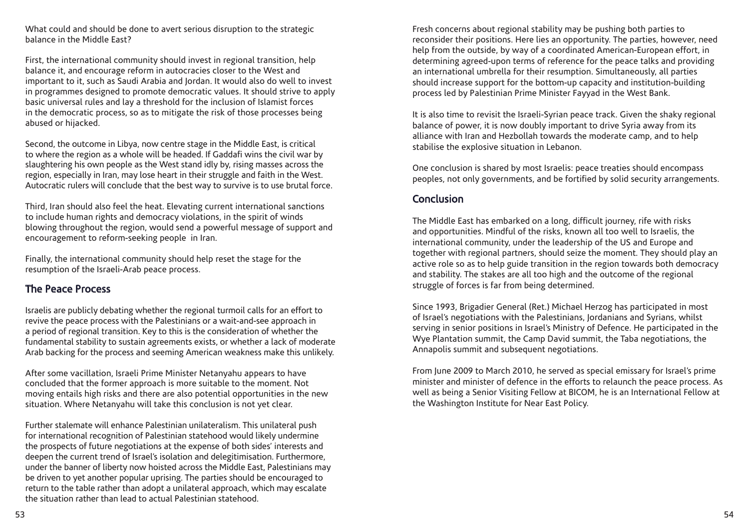What could and should be done to avert serious disruption to the strategic balance in the Middle East?

First, the international community should invest in regional transition, help balance it, and encourage reform in autocracies closer to the West and important to it, such as Saudi Arabia and Jordan. It would also do well to invest in programmes designed to promote democratic values. It should strive to apply basic universal rules and lay a threshold for the inclusion of Islamist forces in the democratic process, so as to mitigate the risk of those processes being abused or hijacked.

Second, the outcome in Libya, now centre stage in the Middle East, is critical to where the region as a whole will be headed. If Gaddafi wins the civil war by slaughtering his own people as the West stand idly by, rising masses across the region, especially in Iran, may lose heart in their struggle and faith in the West. Autocratic rulers will conclude that the best way to survive is to use brutal force.

Third, Iran should also feel the heat. Elevating current international sanctions to include human rights and democracy violations, in the spirit of winds blowing throughout the region, would send a powerful message of support and encouragement to reform-seeking people in Iran.

Finally, the international community should help reset the stage for the resumption of the Israeli-Arab peace process.

#### The Peace Process

Israelis are publicly debating whether the regional turmoil calls for an effort to revive the peace process with the Palestinians or a wait-and-see approach in a period of regional transition. Key to this is the consideration of whether the fundamental stability to sustain agreements exists, or whether a lack of moderate Arab backing for the process and seeming American weakness make this unlikely.

After some vacillation, Israeli Prime Minister Netanyahu appears to have concluded that the former approach is more suitable to the moment. Not moving entails high risks and there are also potential opportunities in the new situation. Where Netanyahu will take this conclusion is not yet clear.

Further stalemate will enhance Palestinian unilateralism. This unilateral push for international recognition of Palestinian statehood would likely undermine the prospects of future negotiations at the expense of both sides' interests and deepen the current trend of Israel's isolation and delegitimisation. Furthermore, under the banner of liberty now hoisted across the Middle East, Palestinians may be driven to yet another popular uprising. The parties should be encouraged to return to the table rather than adopt a unilateral approach, which may escalate the situation rather than lead to actual Palestinian statehood.

Fresh concerns about regional stability may be pushing both parties to reconsider their positions. Here lies an opportunity. The parties, however, need help from the outside, by way of a coordinated American-European effort, in determining agreed-upon terms of reference for the peace talks and providing an international umbrella for their resumption. Simultaneously, all parties should increase support for the bottom-up capacity and institution-building process led by Palestinian Prime Minister Fayyad in the West Bank.

It is also time to revisit the Israeli-Syrian peace track. Given the shaky regional balance of power, it is now doubly important to drive Syria away from its alliance with Iran and Hezbollah towards the moderate camp, and to help stabilise the explosive situation in Lebanon.

One conclusion is shared by most Israelis: peace treaties should encompass peoples, not only governments, and be fortified by solid security arrangements.

## Conclusion

The Middle East has embarked on a long, difficult journey, rife with risks and opportunities. Mindful of the risks, known all too well to Israelis, the international community, under the leadership of the US and Europe and together with regional partners, should seize the moment. They should play an active role so as to help guide transition in the region towards both democracy and stability. The stakes are all too high and the outcome of the regional struggle of forces is far from being determined.

Since 1993, Brigadier General (Ret.) Michael Herzog has participated in most of Israel's negotiations with the Palestinians, Jordanians and Syrians, whilst serving in senior positions in Israel's Ministry of Defence. He participated in the Wye Plantation summit, the Camp David summit, the Taba negotiations, the Annapolis summit and subsequent negotiations.

From June 2009 to March 2010, he served as special emissary for Israel's prime minister and minister of defence in the efforts to relaunch the peace process. As well as being a Senior Visiting Fellow at BICOM, he is an International Fellow at the Washington Institute for Near East Policy.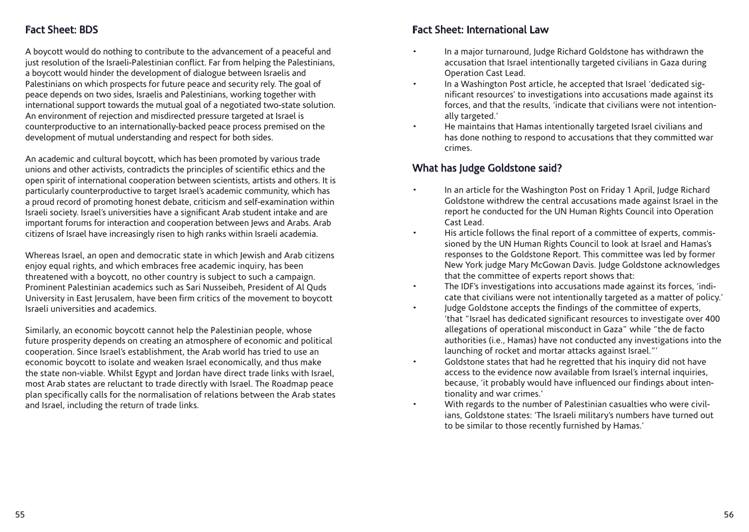# Fact Sheet: BDS

A boycott would do nothing to contribute to the advancement of a peaceful and just resolution of the Israeli-Palestinian conflict. Far from helping the Palestinians, a boycott would hinder the development of dialogue between Israelis and Palestinians on which prospects for future peace and security rely. The goal of peace depends on two sides, Israelis and Palestinians, working together with international support towards the mutual goal of a negotiated two-state solution. An environment of rejection and misdirected pressure targeted at Israel is counterproductive to an internationally-backed peace process premised on the development of mutual understanding and respect for both sides.

An academic and cultural boycott, which has been promoted by various trade unions and other activists, contradicts the principles of scientific ethics and the open spirit of international cooperation between scientists, artists and others. It is particularly counterproductive to target Israel's academic community, which has a proud record of promoting honest debate, criticism and self-examination within Israeli society. Israel's universities have a significant Arab student intake and are important forums for interaction and cooperation between Jews and Arabs. Arab citizens of Israel have increasingly risen to high ranks within Israeli academia.

Whereas Israel, an open and democratic state in which Jewish and Arab citizens enjoy equal rights, and which embraces free academic inquiry, has been threatened with a boycott, no other country is subject to such a campaign. Prominent Palestinian academics such as Sari Nusseibeh, President of Al Quds University in East Jerusalem, have been firm critics of the movement to boycott Israeli universities and academics.

Similarly, an economic boycott cannot help the Palestinian people, whose future prosperity depends on creating an atmosphere of economic and political cooperation. Since Israel's establishment, the Arab world has tried to use an economic boycott to isolate and weaken Israel economically, and thus make the state non-viable. Whilst Egypt and Jordan have direct trade links with Israel, most Arab states are reluctant to trade directly with Israel. The Roadmap peace plan specifically calls for the normalisation of relations between the Arab states and Israel, including the return of trade links.

## Fact Sheet: International Law

- In a major turnaround, Judge Richard Goldstone has withdrawn the accusation that Israel intentionally targeted civilians in Gaza during Operation Cast Lead.
- In a Washington Post article, he accepted that Israel 'dedicated significant resources' to investigations into accusations made against its forces, and that the results, 'indicate that civilians were not intentionally targeted.'
- He maintains that Hamas intentionally targeted Israel civilians and has done nothing to respond to accusations that they committed war crimes.

## What has Judge Goldstone said?

- In an article for the Washington Post on Friday 1 April, Judge Richard Goldstone withdrew the central accusations made against Israel in the report he conducted for the UN Human Rights Council into Operation Cast Lead.
- His article follows the final report of a committee of experts, commissioned by the UN Human Rights Council to look at Israel and Hamas's responses to the Goldstone Report. This committee was led by former New York judge Mary McGowan Davis. Judge Goldstone acknowledges that the committee of experts report shows that:
- The IDF's investigations into accusations made against its forces, 'indicate that civilians were not intentionally targeted as a matter of policy.'
- Judge Goldstone accepts the findings of the committee of experts, 'that "Israel has dedicated significant resources to investigate over 400 allegations of operational misconduct in Gaza" while "the de facto authorities (i.e., Hamas) have not conducted any investigations into the launching of rocket and mortar attacks against Israel."'
- Goldstone states that had he regretted that his inquiry did not have access to the evidence now available from Israel's internal inquiries, because, 'it probably would have influenced our findings about intentionality and war crimes.'
	- With regards to the number of Palestinian casualties who were civilians, Goldstone states: 'The Israeli military's numbers have turned out to be similar to those recently furnished by Hamas.'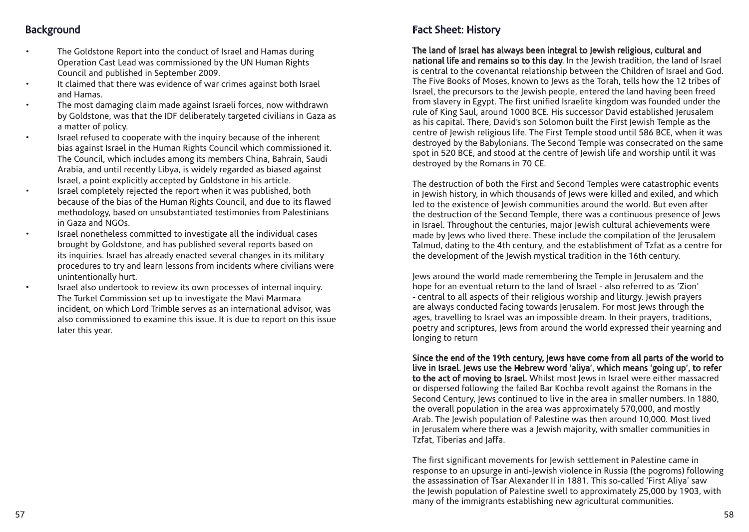# **Background**

- The Goldstone Report into the conduct of Israel and Hamas during Operation Cast Lead was commissioned by the UN Human Rights Council and published in September 2009.
- It claimed that there was evidence of war crimes against both Israel and Hamas.
- The most damaging claim made against Israeli forces, now withdrawn by Goldstone, was that the IDF deliberately targeted civilians in Gaza as a matter of policy.
- Israel refused to cooperate with the inquiry because of the inherent bias against Israel in the Human Rights Council which commissioned it. The Council, which includes among its members China, Bahrain, Saudi Arabia, and until recently Libya, is widely regarded as biased against Israel, a point explicitly accepted by Goldstone in his article.
- Israel completely rejected the report when it was published, both because of the bias of the Human Rights Council, and due to its flawed methodology, based on unsubstantiated testimonies from Palestinians in Gaza and NGOs.
- Israel nonetheless committed to investigate all the individual cases brought by Goldstone, and has published several reports based on its inquiries. Israel has already enacted several changes in its military procedures to try and learn lessons from incidents where civilians were unintentionally hurt.
- Israel also undertook to review its own processes of internal inquiry. The Turkel Commission set up to investigate the Mavi Marmara incident, on which Lord Trimble serves as an international advisor, was also commissioned to examine this issue. It is due to report on this issue later this year.

# Fact Sheet: History

#### The land of Israel has always been integral to Jewish religious, cultural and

national life and remains so to this day. In the Jewish tradition, the land of Israel is central to the covenantal relationship between the Children of Israel and God. The Five Books of Moses, known to Jews as the Torah, tells how the 12 tribes of Israel, the precursors to the Jewish people, entered the land having been freed from slavery in Egypt. The first unified Israelite kingdom was founded under the rule of King Saul, around 1000 BCE. His successor David established Jerusalem as his capital. There, David's son Solomon built the First Jewish Temple as the centre of Jewish religious life. The First Temple stood until 586 BCE, when it was destroyed by the Babylonians. The Second Temple was consecrated on the same spot in 520 BCE, and stood at the centre of Jewish life and worship until it was destroyed by the Romans in 70 CE.

The destruction of both the First and Second Temples were catastrophic events in Jewish history, in which thousands of Jews were killed and exiled, and which led to the existence of Jewish communities around the world. But even after the destruction of the Second Temple, there was a continuous presence of Jews in Israel. Throughout the centuries, major Jewish cultural achievements were made by Jews who lived there. These include the compilation of the Jerusalem Talmud, dating to the 4th century, and the establishment of Tzfat as a centre for the development of the Jewish mystical tradition in the 16th century.

Jews around the world made remembering the Temple in Jerusalem and the hope for an eventual return to the land of Israel - also referred to as 'Zion' - central to all aspects of their religious worship and liturgy. Jewish prayers are always conducted facing towards Jerusalem. For most Jews through the ages, travelling to Israel was an impossible dream. In their prayers, traditions, poetry and scriptures, Jews from around the world expressed their yearning and longing to return

Since the end of the 19th century, Jews have come from all parts of the world to live in Israel. Jews use the Hebrew word 'aliya', which means 'going up', to refer to the act of moving to Israel. Whilst most Jews in Israel were either massacred or dispersed following the failed Bar Kochba revolt against the Romans in the Second Century, Jews continued to live in the area in smaller numbers. In 1880, the overall population in the area was approximately 570,000, and mostly Arab. The Jewish population of Palestine was then around 10,000. Most lived in Jerusalem where there was a Jewish majority, with smaller communities in Tzfat, Tiberias and Jaffa.

The first significant movements for Jewish settlement in Palestine came in response to an upsurge in anti-Jewish violence in Russia (the pogroms) following the assassination of Tsar Alexander II in 1881. This so-called 'First Aliya' saw the Jewish population of Palestine swell to approximately 25,000 by 1903, with many of the immigrants establishing new agricultural communities.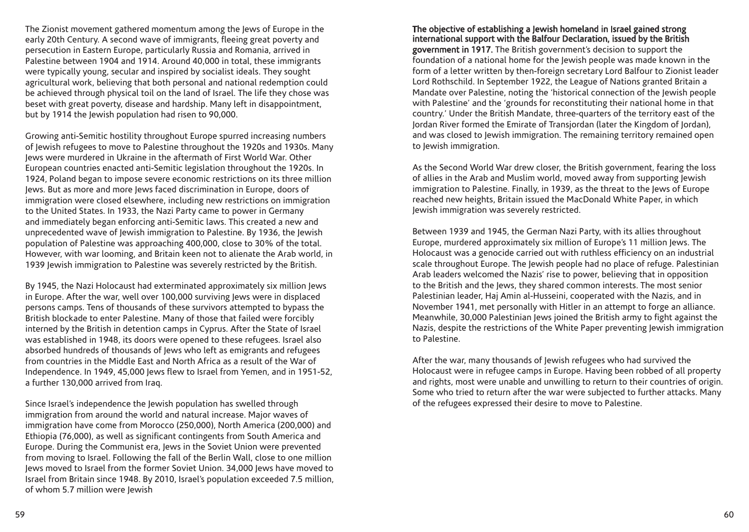The Zionist movement gathered momentum among the Jews of Europe in the early 20th Century. A second wave of immigrants, fleeing great poverty and persecution in Eastern Europe, particularly Russia and Romania, arrived in Palestine between 1904 and 1914. Around 40,000 in total, these immigrants were typically young, secular and inspired by socialist ideals. They sought agricultural work, believing that both personal and national redemption could be achieved through physical toil on the land of Israel. The life they chose was beset with great poverty, disease and hardship. Many left in disappointment, but by 1914 the Jewish population had risen to 90,000.

Growing anti-Semitic hostility throughout Europe spurred increasing numbers of Jewish refugees to move to Palestine throughout the 1920s and 1930s. Many Jews were murdered in Ukraine in the aftermath of First World War. Other European countries enacted anti-Semitic legislation throughout the 1920s. In 1924, Poland began to impose severe economic restrictions on its three million Jews. But as more and more Jews faced discrimination in Europe, doors of immigration were closed elsewhere, including new restrictions on immigration to the United States. In 1933, the Nazi Party came to power in Germany and immediately began enforcing anti-Semitic laws. This created a new and unprecedented wave of Jewish immigration to Palestine. By 1936, the Jewish population of Palestine was approaching 400,000, close to 30% of the total. However, with war looming, and Britain keen not to alienate the Arab world, in 1939 Jewish immigration to Palestine was severely restricted by the British.

By 1945, the Nazi Holocaust had exterminated approximately six million Jews in Europe. After the war, well over 100,000 surviving Jews were in displaced persons camps. Tens of thousands of these survivors attempted to bypass the British blockade to enter Palestine. Many of those that failed were forcibly interned by the British in detention camps in Cyprus. After the State of Israel was established in 1948, its doors were opened to these refugees. Israel also absorbed hundreds of thousands of Jews who left as emigrants and refugees from countries in the Middle East and North Africa as a result of the War of Independence. In 1949, 45,000 Jews flew to Israel from Yemen, and in 1951-52, a further 130,000 arrived from Iraq.

Since Israel's independence the Jewish population has swelled through immigration from around the world and natural increase. Major waves of immigration have come from Morocco (250,000), North America (200,000) and Ethiopia (76,000), as well as significant contingents from South America and Europe. During the Communist era, Jews in the Soviet Union were prevented from moving to Israel. Following the fall of the Berlin Wall, close to one million Jews moved to Israel from the former Soviet Union. 34,000 Jews have moved to Israel from Britain since 1948. By 2010, Israel's population exceeded 7.5 million, of whom 5.7 million were Jewish

The objective of establishing a Jewish homeland in Israel gained strong international support with the Balfour Declaration, issued by the British government in 1917. The British government's decision to support the foundation of a national home for the Jewish people was made known in the form of a letter written by then-foreign secretary Lord Balfour to Zionist leader Lord Rothschild. In September 1922, the League of Nations granted Britain a Mandate over Palestine, noting the 'historical connection of the Jewish people with Palestine' and the 'grounds for reconstituting their national home in that country.' Under the British Mandate, three-quarters of the territory east of the Jordan River formed the Emirate of Transjordan (later the Kingdom of Jordan), and was closed to Jewish immigration. The remaining territory remained open to Jewish immigration.

As the Second World War drew closer, the British government, fearing the loss of allies in the Arab and Muslim world, moved away from supporting Jewish immigration to Palestine. Finally, in 1939, as the threat to the Jews of Europe reached new heights, Britain issued the MacDonald White Paper, in which Jewish immigration was severely restricted.

Between 1939 and 1945, the German Nazi Party, with its allies throughout Europe, murdered approximately six million of Europe's 11 million Jews. The Holocaust was a genocide carried out with ruthless efficiency on an industrial scale throughout Europe. The Jewish people had no place of refuge. Palestinian Arab leaders welcomed the Nazis' rise to power, believing that in opposition to the British and the Jews, they shared common interests. The most senior Palestinian leader, Haj Amin al-Husseini, cooperated with the Nazis, and in November 1941, met personally with Hitler in an attempt to forge an alliance. Meanwhile, 30,000 Palestinian Jews joined the British army to fight against the Nazis, despite the restrictions of the White Paper preventing Jewish immigration to Palestine.

After the war, many thousands of Jewish refugees who had survived the Holocaust were in refugee camps in Europe. Having been robbed of all property and rights, most were unable and unwilling to return to their countries of origin. Some who tried to return after the war were subjected to further attacks. Many of the refugees expressed their desire to move to Palestine.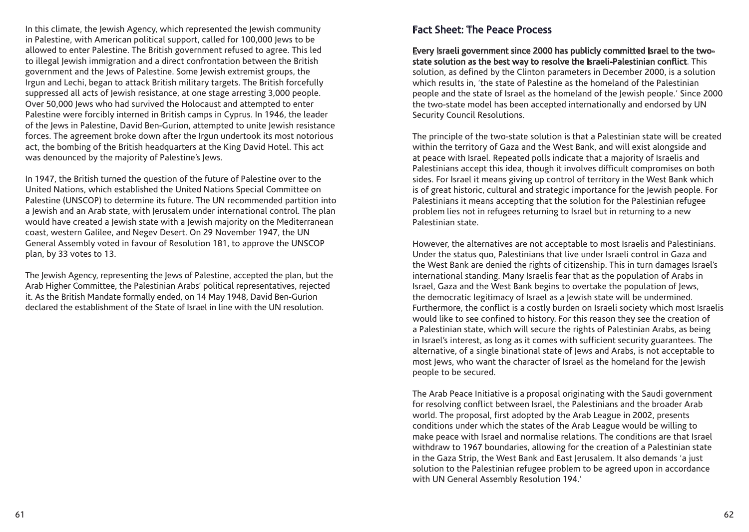In this climate, the Jewish Agency, which represented the Jewish community in Palestine, with American political support, called for 100,000 Jews to be allowed to enter Palestine. The British government refused to agree. This led to illegal Jewish immigration and a direct confrontation between the British government and the Jews of Palestine. Some Jewish extremist groups, the Irgun and Lechi, began to attack British military targets. The British forcefully suppressed all acts of Jewish resistance, at one stage arresting 3,000 people. Over 50,000 Jews who had survived the Holocaust and attempted to enter Palestine were forcibly interned in British camps in Cyprus. In 1946, the leader of the Jews in Palestine, David Ben-Gurion, attempted to unite Jewish resistance forces. The agreement broke down after the Irgun undertook its most notorious act, the bombing of the British headquarters at the King David Hotel. This act was denounced by the majority of Palestine's Jews.

In 1947, the British turned the question of the future of Palestine over to the United Nations, which established the United Nations Special Committee on Palestine (UNSCOP) to determine its future. The UN recommended partition into a Jewish and an Arab state, with Jerusalem under international control. The plan would have created a Jewish state with a Jewish majority on the Mediterranean coast, western Galilee, and Negev Desert. On 29 November 1947, the UN General Assembly voted in favour of Resolution 181, to approve the UNSCOP plan, by 33 votes to 13.

The Jewish Agency, representing the Jews of Palestine, accepted the plan, but the Arab Higher Committee, the Palestinian Arabs' political representatives, rejected it. As the British Mandate formally ended, on 14 May 1948, David Ben-Gurion declared the establishment of the State of Israel in line with the UN resolution.

## Fact Sheet: The Peace Process

Every Israeli government since 2000 has publicly committed Israel to the twostate solution as the best way to resolve the Israeli-Palestinian conflict. This solution, as defined by the Clinton parameters in December 2000, is a solution which results in, 'the state of Palestine as the homeland of the Palestinian people and the state of Israel as the homeland of the Jewish people.' Since 2000 the two-state model has been accepted internationally and endorsed by UN Security Council Resolutions.

The principle of the two-state solution is that a Palestinian state will be created within the territory of Gaza and the West Bank, and will exist alongside and at peace with Israel. Repeated polls indicate that a majority of Israelis and Palestinians accept this idea, though it involves difficult compromises on both sides. For Israel it means giving up control of territory in the West Bank which is of great historic, cultural and strategic importance for the Jewish people. For Palestinians it means accepting that the solution for the Palestinian refugee problem lies not in refugees returning to Israel but in returning to a new Palestinian state.

However, the alternatives are not acceptable to most Israelis and Palestinians. Under the status quo, Palestinians that live under Israeli control in Gaza and the West Bank are denied the rights of citizenship. This in turn damages Israel's international standing. Many Israelis fear that as the population of Arabs in Israel, Gaza and the West Bank begins to overtake the population of Jews, the democratic legitimacy of Israel as a Jewish state will be undermined. Furthermore, the conflict is a costly burden on Israeli society which most Israelis would like to see confined to history. For this reason they see the creation of a Palestinian state, which will secure the rights of Palestinian Arabs, as being in Israel's interest, as long as it comes with sufficient security guarantees. The alternative, of a single binational state of Jews and Arabs, is not acceptable to most Jews, who want the character of Israel as the homeland for the Jewish people to be secured.

The Arab Peace Initiative is a proposal originating with the Saudi government for resolving conflict between Israel, the Palestinians and the broader Arab world. The proposal, first adopted by the Arab League in 2002, presents conditions under which the states of the Arab League would be willing to make peace with Israel and normalise relations. The conditions are that Israel withdraw to 1967 boundaries, allowing for the creation of a Palestinian state in the Gaza Strip, the West Bank and East Jerusalem. It also demands 'a just solution to the Palestinian refugee problem to be agreed upon in accordance with UN General Assembly Resolution 194.'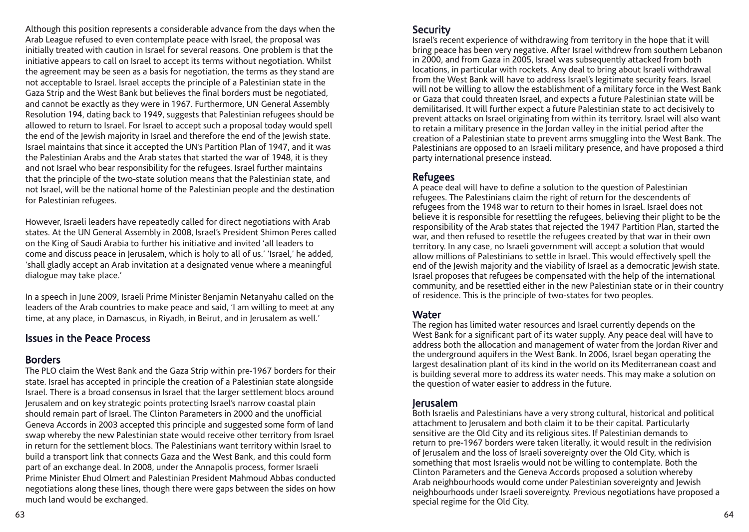Although this position represents a considerable advance from the days when the Arab League refused to even contemplate peace with Israel, the proposal was initially treated with caution in Israel for several reasons. One problem is that the initiative appears to call on Israel to accept its terms without negotiation. Whilst the agreement may be seen as a basis for negotiation, the terms as they stand are not acceptable to Israel. Israel accepts the principle of a Palestinian state in the Gaza Strip and the West Bank but believes the final borders must be negotiated, and cannot be exactly as they were in 1967. Furthermore, UN General Assembly Resolution 194, dating back to 1949, suggests that Palestinian refugees should be allowed to return to Israel. For Israel to accept such a proposal today would spell the end of the Jewish majority in Israel and therefore the end of the Jewish state. Israel maintains that since it accepted the UN's Partition Plan of 1947, and it was the Palestinian Arabs and the Arab states that started the war of 1948, it is they and not Israel who bear responsibility for the refugees. Israel further maintains that the principle of the two-state solution means that the Palestinian state, and not Israel, will be the national home of the Palestinian people and the destination for Palestinian refugees.

However, Israeli leaders have repeatedly called for direct negotiations with Arab states. At the UN General Assembly in 2008, Israel's President Shimon Peres called on the King of Saudi Arabia to further his initiative and invited 'all leaders to come and discuss peace in Jerusalem, which is holy to all of us.' 'Israel,' he added, 'shall gladly accept an Arab invitation at a designated venue where a meaningful dialogue may take place.'

In a speech in June 2009, Israeli Prime Minister Benjamin Netanyahu called on the leaders of the Arab countries to make peace and said, 'I am willing to meet at any time, at any place, in Damascus, in Riyadh, in Beirut, and in Jerusalem as well.'

#### Issues in the Peace Process

#### Borders

The PLO claim the West Bank and the Gaza Strip within pre-1967 borders for their state. Israel has accepted in principle the creation of a Palestinian state alongside Israel. There is a broad consensus in Israel that the larger settlement blocs around Jerusalem and on key strategic points protecting Israel's narrow coastal plain should remain part of Israel. The Clinton Parameters in 2000 and the unofficial Geneva Accords in 2003 accepted this principle and suggested some form of land swap whereby the new Palestinian state would receive other territory from Israel in return for the settlement blocs. The Palestinians want territory within Israel to build a transport link that connects Gaza and the West Bank, and this could form part of an exchange deal. In 2008, under the Annapolis process, former Israeli Prime Minister Ehud Olmert and Palestinian President Mahmoud Abbas conducted negotiations along these lines, though there were gaps between the sides on how much land would be exchanged.

#### **Security**

Israel's recent experience of withdrawing from territory in the hope that it will bring peace has been very negative. After Israel withdrew from southern Lebanon in 2000, and from Gaza in 2005, Israel was subsequently attacked from both locations, in particular with rockets. Any deal to bring about Israeli withdrawal from the West Bank will have to address Israel's legitimate security fears. Israel will not be willing to allow the establishment of a military force in the West Bank or Gaza that could threaten Israel, and expects a future Palestinian state will be demilitarised. It will further expect a future Palestinian state to act decisively to prevent attacks on Israel originating from within its territory. Israel will also want to retain a military presence in the Jordan valley in the initial period after the creation of a Palestinian state to prevent arms smuggling into the West Bank. The Palestinians are opposed to an Israeli military presence, and have proposed a third party international presence instead.

### Refugees

A peace deal will have to define a solution to the question of Palestinian refugees. The Palestinians claim the right of return for the descendents of refugees from the 1948 war to return to their homes in Israel. Israel does not believe it is responsible for resettling the refugees, believing their plight to be the responsibility of the Arab states that rejected the 1947 Partition Plan, started the war, and then refused to resettle the refugees created by that war in their own territory. In any case, no Israeli government will accept a solution that would allow millions of Palestinians to settle in Israel. This would effectively spell the end of the Jewish majority and the viability of Israel as a democratic Jewish state. Israel proposes that refugees be compensated with the help of the international community, and be resettled either in the new Palestinian state or in their country of residence. This is the principle of two-states for two peoples.

#### **Water**

The region has limited water resources and Israel currently depends on the West Bank for a significant part of its water supply. Any peace deal will have to address both the allocation and management of water from the Jordan River and the underground aquifers in the West Bank. In 2006, Israel began operating the largest desalination plant of its kind in the world on its Mediterranean coast and is building several more to address its water needs. This may make a solution on the question of water easier to address in the future.

#### Jerusalem

Both Israelis and Palestinians have a very strong cultural, historical and political attachment to Jerusalem and both claim it to be their capital. Particularly sensitive are the Old City and its religious sites. If Palestinian demands to return to pre-1967 borders were taken literally, it would result in the redivision of Jerusalem and the loss of Israeli sovereignty over the Old City, which is something that most Israelis would not be willing to contemplate. Both the Clinton Parameters and the Geneva Accords proposed a solution whereby Arab neighbourhoods would come under Palestinian sovereignty and Jewish neighbourhoods under Israeli sovereignty. Previous negotiations have proposed a special regime for the Old City.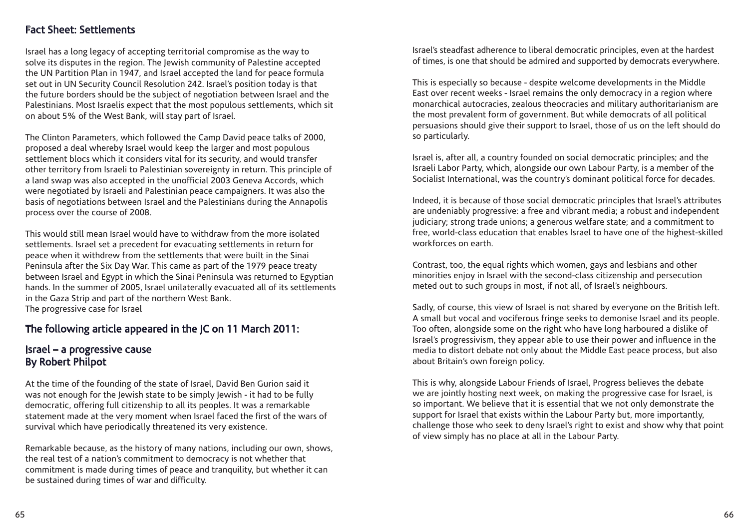#### Fact Sheet: Settlements

Israel has a long legacy of accepting territorial compromise as the way to solve its disputes in the region. The Jewish community of Palestine accepted the UN Partition Plan in 1947, and Israel accepted the land for peace formula set out in UN Security Council Resolution 242. Israel's position today is that the future borders should be the subject of negotiation between Israel and the Palestinians. Most Israelis expect that the most populous settlements, which sit on about 5% of the West Bank, will stay part of Israel.

The Clinton Parameters, which followed the Camp David peace talks of 2000, proposed a deal whereby Israel would keep the larger and most populous settlement blocs which it considers vital for its security, and would transfer other territory from Israeli to Palestinian sovereignty in return. This principle of a land swap was also accepted in the unofficial 2003 Geneva Accords, which were negotiated by Israeli and Palestinian peace campaigners. It was also the basis of negotiations between Israel and the Palestinians during the Annapolis process over the course of 2008.

This would still mean Israel would have to withdraw from the more isolated settlements. Israel set a precedent for evacuating settlements in return for peace when it withdrew from the settlements that were built in the Sinai Peninsula after the Six Day War. This came as part of the 1979 peace treaty between Israel and Egypt in which the Sinai Peninsula was returned to Egyptian hands. In the summer of 2005, Israel unilaterally evacuated all of its settlements in the Gaza Strip and part of the northern West Bank. The progressive case for Israel

## The following article appeared in the JC on 11 March 2011:

## Israel – a progressive cause By Robert Philpot

At the time of the founding of the state of Israel, David Ben Gurion said it was not enough for the Jewish state to be simply Jewish - it had to be fully democratic, offering full citizenship to all its peoples. It was a remarkable statement made at the very moment when Israel faced the first of the wars of survival which have periodically threatened its very existence.

Remarkable because, as the history of many nations, including our own, shows, the real test of a nation's commitment to democracy is not whether that commitment is made during times of peace and tranquility, but whether it can be sustained during times of war and difficulty.

Israel's steadfast adherence to liberal democratic principles, even at the hardest of times, is one that should be admired and supported by democrats everywhere.

This is especially so because - despite welcome developments in the Middle East over recent weeks - Israel remains the only democracy in a region where monarchical autocracies, zealous theocracies and military authoritarianism are the most prevalent form of government. But while democrats of all political persuasions should give their support to Israel, those of us on the left should do so particularly.

Israel is, after all, a country founded on social democratic principles; and the Israeli Labor Party, which, alongside our own Labour Party, is a member of the Socialist International, was the country's dominant political force for decades.

Indeed, it is because of those social democratic principles that Israel's attributes are undeniably progressive: a free and vibrant media; a robust and independent judiciary; strong trade unions; a generous welfare state; and a commitment to free, world-class education that enables Israel to have one of the highest-skilled workforces on earth.

Contrast, too, the equal rights which women, gays and lesbians and other minorities enjoy in Israel with the second-class citizenship and persecution meted out to such groups in most, if not all, of Israel's neighbours.

Sadly, of course, this view of Israel is not shared by everyone on the British left. A small but vocal and vociferous fringe seeks to demonise Israel and its people. Too often, alongside some on the right who have long harboured a dislike of Israel's progressivism, they appear able to use their power and influence in the media to distort debate not only about the Middle East peace process, but also about Britain's own foreign policy.

This is why, alongside Labour Friends of Israel, Progress believes the debate we are jointly hosting next week, on making the progressive case for Israel, is so important. We believe that it is essential that we not only demonstrate the support for Israel that exists within the Labour Party but, more importantly, challenge those who seek to deny Israel's right to exist and show why that point of view simply has no place at all in the Labour Party.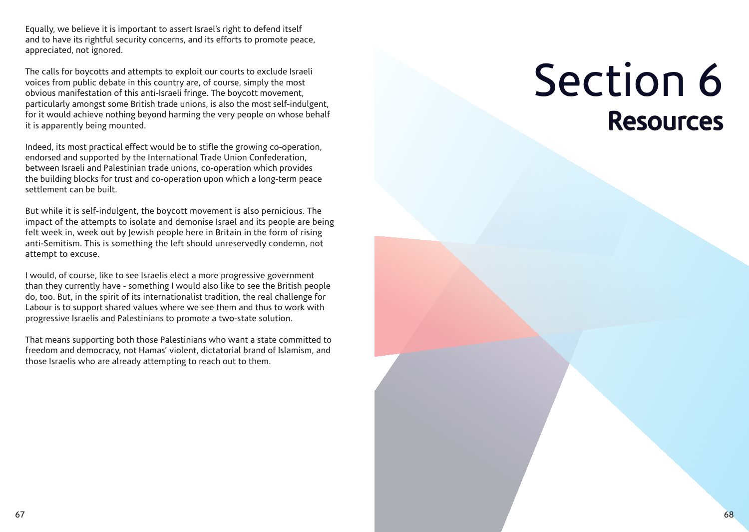Equally, we believe it is important to assert Israel's right to defend itself and to have its rightful security concerns, and its efforts to promote peace, appreciated, not ignored.

The calls for boycotts and attempts to exploit our courts to exclude Israeli voices from public debate in this country are, of course, simply the most obvious manifestation of this anti-Israeli fringe. The boycott movement, particularly amongst some British trade unions, is also the most self-indulgent, for it would achieve nothing beyond harming the very people on whose behalf it is apparently being mounted.

Indeed, its most practical effect would be to stifle the growing co-operation, endorsed and supported by the International Trade Union Confederation, between Israeli and Palestinian trade unions, co-operation which provides the building blocks for trust and co-operation upon which a long-term peace settlement can be built.

But while it is self-indulgent, the boycott movement is also pernicious. The impact of the attempts to isolate and demonise Israel and its people are being felt week in, week out by Jewish people here in Britain in the form of rising anti-Semitism. This is something the left should unreservedly condemn, not attempt to excuse.

I would, of course, like to see Israelis elect a more progressive government than they currently have - something I would also like to see the British people do, too. But, in the spirit of its internationalist tradition, the real challenge for Labour is to support shared values where we see them and thus to work with progressive Israelis and Palestinians to promote a two-state solution.

That means supporting both those Palestinians who want a state committed to freedom and democracy, not Hamas' violent, dictatorial brand of Islamism, and those Israelis who are already attempting to reach out to them.

# Section 6 Resources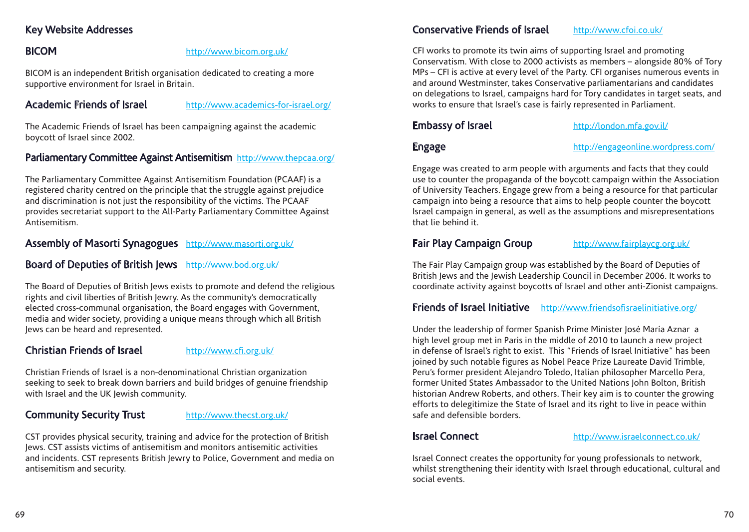# Key Website Addresses

#### BICOM http://www.bicom.org.uk/

BICOM is an independent British organisation dedicated to creating a more supportive environment for Israel in Britain.

## Academic Friends of Israel http://www.academics-for-israel.org/

The Academic Friends of Israel has been campaigning against the academic boycott of Israel since 2002.

#### Parliamentary Committee Against Antisemitism http://www.thepcaa.org/

The Parliamentary Committee Against Antisemitism Foundation (PCAAF) is a registered charity centred on the principle that the struggle against prejudice and discrimination is not just the responsibility of the victims. The PCAAF provides secretariat support to the All-Party Parliamentary Committee Against Antisemitism.

#### Assembly of Masorti Synagogues http://www.masorti.org.uk/

#### Board of Deputies of British Jews http://www.bod.org.uk/

The Board of Deputies of British Jews exists to promote and defend the religious rights and civil liberties of British Jewry. As the community's democratically elected cross-communal organisation, the Board engages with Government, media and wider society, providing a unique means through which all British Jews can be heard and represented.

#### Christian Friends of Israel http://www.cfi.org.uk/

Christian Friends of Israel is a non-denominational Christian organization seeking to seek to break down barriers and build bridges of genuine friendship with Israel and the UK Jewish community.

#### Community Security Trust http://www.thecst.org.uk/

CST provides physical security, training and advice for the protection of British Jews. CST assists victims of antisemitism and monitors antisemitic activities and incidents. CST represents British Jewry to Police, Government and media on antisemitism and security.

#### Conservative Friends of Israel http://www.cfoi.co.uk/

CFI works to promote its twin aims of supporting Israel and promoting Conservatism. With close to 2000 activists as members – alongside 80% of Tory MPs – CFI is active at every level of the Party. CFI organises numerous events in and around Westminster, takes Conservative parliamentarians and candidates on delegations to Israel, campaigns hard for Tory candidates in target seats, and works to ensure that Israel's case is fairly represented in Parliament.

Embassy of Israel http://london.mfa.gov.il/

Engage http://engageonline.wordpress.com/

Engage was created to arm people with arguments and facts that they could use to counter the propaganda of the boycott campaign within the Association of University Teachers. Engage grew from a being a resource for that particular campaign into being a resource that aims to help people counter the boycott Israel campaign in general, as well as the assumptions and misrepresentations that lie behind it.

## Fair Play Campaign Group http://www.fairplaycg.org.uk/

The Fair Play Campaign group was established by the Board of Deputies of British Jews and the Jewish Leadership Council in December 2006. It works to coordinate activity against boycotts of Israel and other anti-Zionist campaigns.

#### Friends of Israel Initiative http://www.friendsofisraelinitiative.org/

Under the leadership of former Spanish Prime Minister José María Aznar a high level group met in Paris in the middle of 2010 to launch a new project in defense of Israel's right to exist. This "Friends of Israel Initiative" has been joined by such notable figures as Nobel Peace Prize Laureate David Trimble, Peru's former president Alejandro Toledo, Italian philosopher Marcello Pera, former United States Ambassador to the United Nations John Bolton, British historian Andrew Roberts, and others. Their key aim is to counter the growing efforts to delegitimize the State of Israel and its right to live in peace within safe and defensible borders.

#### Israel Connect http://www.israelconnect.co.uk/

Israel Connect creates the opportunity for young professionals to network, whilst strengthening their identity with Israel through educational, cultural and social events.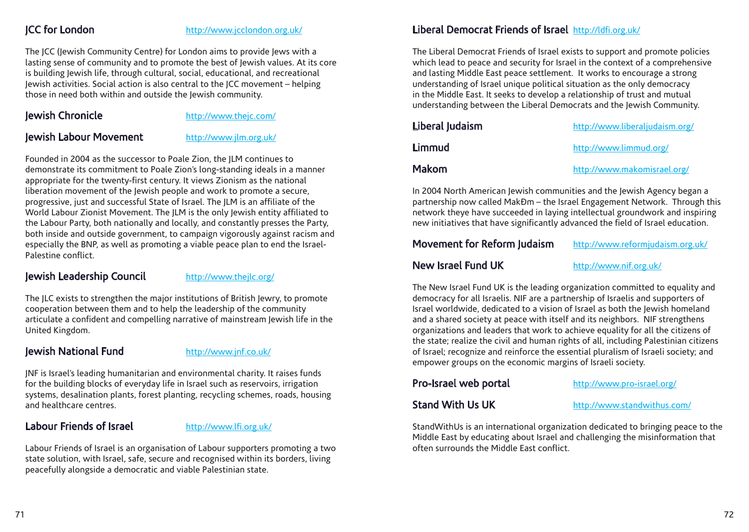#### JCC for London http://www.jcclondon.org.uk/

The JCC (Jewish Community Centre) for London aims to provide Jews with a lasting sense of community and to promote the best of Jewish values. At its core is building Jewish life, through cultural, social, educational, and recreational Jewish activities. Social action is also central to the JCC movement – helping those in need both within and outside the Jewish community.

#### Jewish Chronicle http://www.thejc.com/

#### Jewish Labour Movement http://www.jlm.org.uk/

Founded in 2004 as the successor to Poale Zion, the JLM continues to demonstrate its commitment to Poale Zion's long-standing ideals in a manner appropriate for the twenty-first century. It views Zionism as the national liberation movement of the Jewish people and work to promote a secure, progressive, just and successful State of Israel. The JLM is an affiliate of the World Labour Zionist Movement. The JLM is the only Jewish entity affiliated to the Labour Party, both nationally and locally, and constantly presses the Party, both inside and outside government, to campaign vigorously against racism and especially the BNP, as well as promoting a viable peace plan to end the Israel-Palestine conflict.

#### Jewish Leadership Council http://www.thejlc.org/

The JLC exists to strengthen the major institutions of British Jewry, to promote cooperation between them and to help the leadership of the community articulate a confident and compelling narrative of mainstream Jewish life in the United Kingdom.

## Jewish National Fund http://www.jnf.co.uk/

JNF is Israel's leading humanitarian and environmental charity. It raises funds for the building blocks of everyday life in Israel such as reservoirs, irrigation systems, desalination plants, forest planting, recycling schemes, roads, housing and healthcare centres.

## Labour Friends of Israel http://www.lfi.org.uk/

Labour Friends of Israel is an organisation of Labour supporters promoting a two state solution, with Israel, safe, secure and recognised within its borders, living peacefully alongside a democratic and viable Palestinian state.

# Liberal Democrat Friends of Israel http://ldfi.org.uk/

The Liberal Democrat Friends of Israel exists to support and promote policies which lead to peace and security for Israel in the context of a comprehensive and lasting Middle East peace settlement. It works to encourage a strong understanding of Israel unique political situation as the only democracy in the Middle East. It seeks to develop a relationship of trust and mutual understanding between the Liberal Democrats and the Jewish Community.

| Liberal Judaism | http://www.liberaljudaism.org/ |
|-----------------|--------------------------------|
| Limmud          | http://www.limmud.org/         |
| <b>Makom</b>    | http://www.makomisrael.org/    |

In 2004 North American Jewish communities and the Jewish Agency began a partnership now called MakĐm – the Israel Engagement Network. Through this network theye have succeeded in laying intellectual groundwork and inspiring new initiatives that have significantly advanced the field of Israel education.

# Movement for Reform Judaism http://www.reformjudaism.org.uk/

## New Israel Fund UK http://www.nif.org.uk/

The New Israel Fund UK is the leading organization committed to equality and democracy for all Israelis. NIF are a partnership of Israelis and supporters of Israel worldwide, dedicated to a vision of Israel as both the Jewish homeland and a shared society at peace with itself and its neighbors. NIF strengthens organizations and leaders that work to achieve equality for all the citizens of the state; realize the civil and human rights of all, including Palestinian citizens of Israel; recognize and reinforce the essential pluralism of Israeli society; and empower groups on the economic margins of Israeli society.

#### Pro-Israel web portal http://www.pro-israel.org/

Stand With Us UK http://www.standwithus.com/

StandWithUs is an international organization dedicated to bringing peace to the Middle East by educating about Israel and challenging the misinformation that often surrounds the Middle East conflict.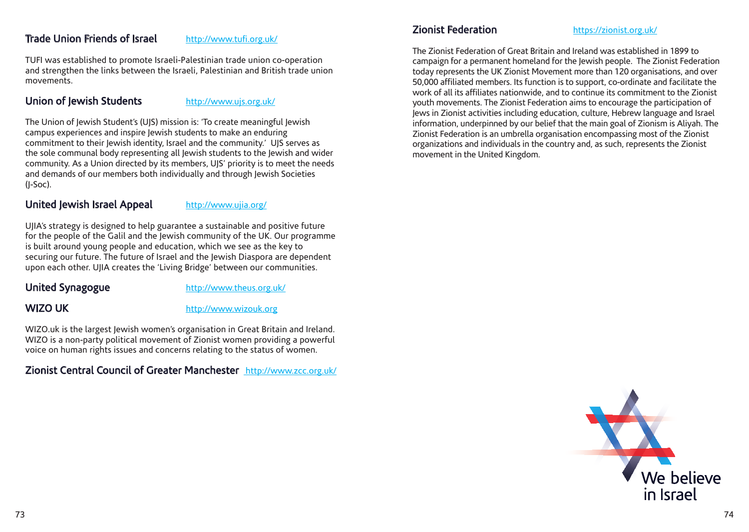#### Trade Union Friends of Israel http://www.tufi.org.uk/

TUFI was established to promote Israeli-Palestinian trade union co-operation and strengthen the links between the Israeli, Palestinian and British trade union movements.

#### Union of Jewish Students http://www.ujs.org.uk/

The Union of Jewish Student's (UJS) mission is: 'To create meaningful Jewish campus experiences and inspire Jewish students to make an enduring commitment to their Jewish identity, Israel and the community.' UJS serves as the sole communal body representing all Jewish students to the Jewish and wider community. As a Union directed by its members, UJS' priority is to meet the needs and demands of our members both individually and through Jewish Societies (J-Soc).

#### United Jewish Israel Appeal http://www.ujia.org/

UJIA's strategy is designed to help guarantee a sustainable and positive future for the people of the Galil and the Jewish community of the UK. Our programme is built around young people and education, which we see as the key to securing our future. The future of Israel and the Jewish Diaspora are dependent upon each other. UJIA creates the 'Living Bridge' between our communities.

United Synagogue http://www.theus.org.uk/

WIZO UK http://www.wizouk.org

WIZO.uk is the largest Jewish women's organisation in Great Britain and Ireland. WIZO is a non-party political movement of Zionist women providing a powerful voice on human rights issues and concerns relating to the status of women.

# Zionist Central Council of Greater Manchester http://www.zcc.org.uk/

#### Zionist Federation https://zionist.org.uk/

The Zionist Federation of Great Britain and Ireland was established in 1899 to campaign for a permanent homeland for the Jewish people. The Zionist Federation today represents the UK Zionist Movement more than 120 organisations, and over 50,000 affiliated members. Its function is to support, co-ordinate and facilitate the work of all its affiliates nationwide, and to continue its commitment to the Zionist youth movements. The Zionist Federation aims to encourage the participation of Jews in Zionist activities including education, culture, Hebrew language and Israel information, underpinned by our belief that the main goal of Zionism is Aliyah. The Zionist Federation is an umbrella organisation encompassing most of the Zionist organizations and individuals in the country and, as such, represents the Zionist movement in the United Kingdom.